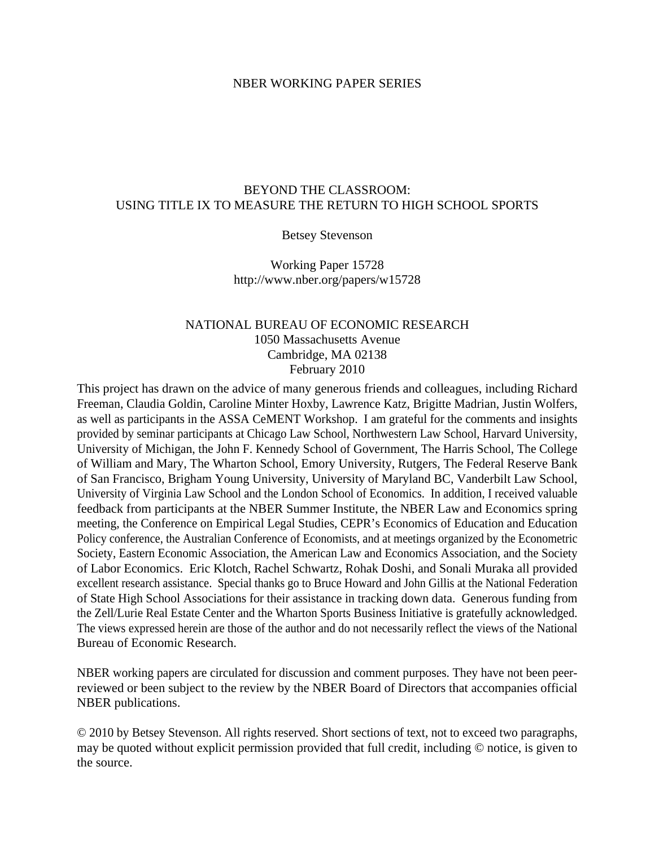### NBER WORKING PAPER SERIES

## BEYOND THE CLASSROOM: USING TITLE IX TO MEASURE THE RETURN TO HIGH SCHOOL SPORTS

## Betsey Stevenson

Working Paper 15728 http://www.nber.org/papers/w15728

## NATIONAL BUREAU OF ECONOMIC RESEARCH 1050 Massachusetts Avenue Cambridge, MA 02138 February 2010

This project has drawn on the advice of many generous friends and colleagues, including Richard Freeman, Claudia Goldin, Caroline Minter Hoxby, Lawrence Katz, Brigitte Madrian, Justin Wolfers, as well as participants in the ASSA CeMENT Workshop. I am grateful for the comments and insights provided by seminar participants at Chicago Law School, Northwestern Law School, Harvard University, University of Michigan, the John F. Kennedy School of Government, The Harris School, The College of William and Mary, The Wharton School, Emory University, Rutgers, The Federal Reserve Bank of San Francisco, Brigham Young University, University of Maryland BC, Vanderbilt Law School, University of Virginia Law School and the London School of Economics. In addition, I received valuable feedback from participants at the NBER Summer Institute, the NBER Law and Economics spring meeting, the Conference on Empirical Legal Studies, CEPR's Economics of Education and Education Policy conference, the Australian Conference of Economists, and at meetings organized by the Econometric Society, Eastern Economic Association, the American Law and Economics Association, and the Society of Labor Economics. Eric Klotch, Rachel Schwartz, Rohak Doshi, and Sonali Muraka all provided excellent research assistance. Special thanks go to Bruce Howard and John Gillis at the National Federation of State High School Associations for their assistance in tracking down data. Generous funding from the Zell/Lurie Real Estate Center and the Wharton Sports Business Initiative is gratefully acknowledged. The views expressed herein are those of the author and do not necessarily reflect the views of the National Bureau of Economic Research.

NBER working papers are circulated for discussion and comment purposes. They have not been peerreviewed or been subject to the review by the NBER Board of Directors that accompanies official NBER publications.

© 2010 by Betsey Stevenson. All rights reserved. Short sections of text, not to exceed two paragraphs, may be quoted without explicit permission provided that full credit, including © notice, is given to the source.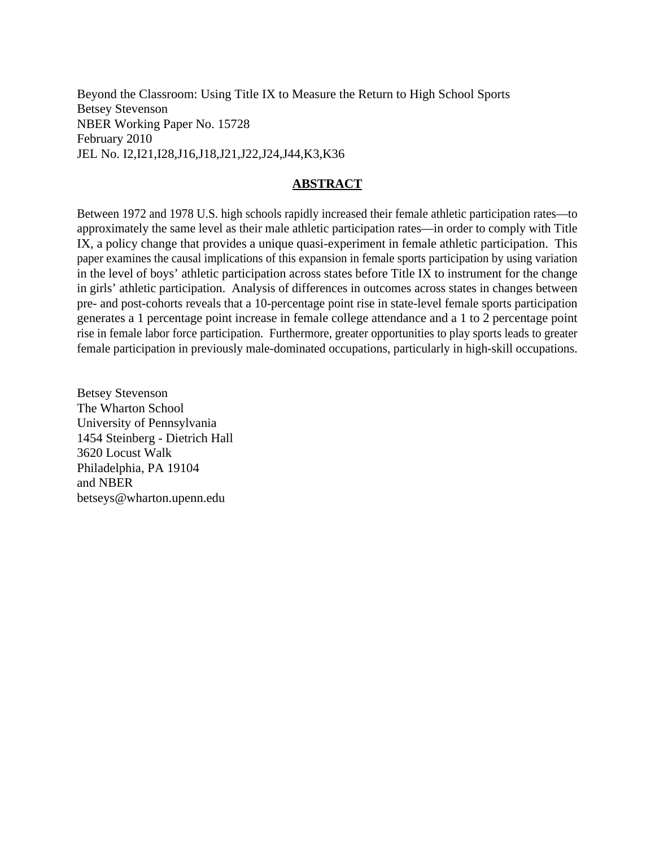Beyond the Classroom: Using Title IX to Measure the Return to High School Sports Betsey Stevenson NBER Working Paper No. 15728 February 2010 JEL No. I2,I21,I28,J16,J18,J21,J22,J24,J44,K3,K36

## **ABSTRACT**

Between 1972 and 1978 U.S. high schools rapidly increased their female athletic participation rates—to approximately the same level as their male athletic participation rates—in order to comply with Title IX, a policy change that provides a unique quasi-experiment in female athletic participation. This paper examines the causal implications of this expansion in female sports participation by using variation in the level of boys' athletic participation across states before Title IX to instrument for the change in girls' athletic participation. Analysis of differences in outcomes across states in changes between pre- and post-cohorts reveals that a 10-percentage point rise in state-level female sports participation generates a 1 percentage point increase in female college attendance and a 1 to 2 percentage point rise in female labor force participation. Furthermore, greater opportunities to play sports leads to greater female participation in previously male-dominated occupations, particularly in high-skill occupations.

Betsey Stevenson The Wharton School University of Pennsylvania 1454 Steinberg - Dietrich Hall 3620 Locust Walk Philadelphia, PA 19104 and NBER betseys@wharton.upenn.edu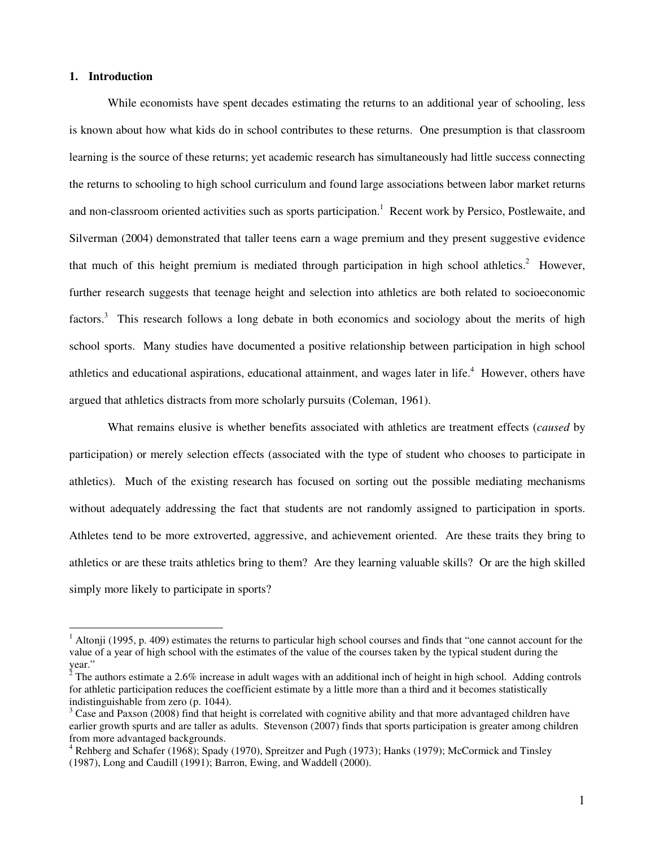### **1. Introduction**

 $\overline{a}$ 

While economists have spent decades estimating the returns to an additional year of schooling, less is known about how what kids do in school contributes to these returns. One presumption is that classroom learning is the source of these returns; yet academic research has simultaneously had little success connecting the returns to schooling to high school curriculum and found large associations between labor market returns and non-classroom oriented activities such as sports participation.<sup>1</sup> Recent work by Persico, Postlewaite, and Silverman (2004) demonstrated that taller teens earn a wage premium and they present suggestive evidence that much of this height premium is mediated through participation in high school athletics.<sup>2</sup> However, further research suggests that teenage height and selection into athletics are both related to socioeconomic factors.<sup>3</sup> This research follows a long debate in both economics and sociology about the merits of high school sports. Many studies have documented a positive relationship between participation in high school athletics and educational aspirations, educational attainment, and wages later in life.<sup>4</sup> However, others have argued that athletics distracts from more scholarly pursuits (Coleman, 1961).

What remains elusive is whether benefits associated with athletics are treatment effects (*caused* by participation) or merely selection effects (associated with the type of student who chooses to participate in athletics). Much of the existing research has focused on sorting out the possible mediating mechanisms without adequately addressing the fact that students are not randomly assigned to participation in sports. Athletes tend to be more extroverted, aggressive, and achievement oriented. Are these traits they bring to athletics or are these traits athletics bring to them? Are they learning valuable skills? Or are the high skilled simply more likely to participate in sports?

 $1$  Altonji (1995, p. 409) estimates the returns to particular high school courses and finds that "one cannot account for the value of a year of high school with the estimates of the value of the courses taken by the typical student during the year."

 $2^2$  The authors estimate a 2.6% increase in adult wages with an additional inch of height in high school. Adding controls for athletic participation reduces the coefficient estimate by a little more than a third and it becomes statistically indistinguishable from zero (p. 1044).

 $3$  Case and Paxson (2008) find that height is correlated with cognitive ability and that more advantaged children have earlier growth spurts and are taller as adults. Stevenson (2007) finds that sports participation is greater among children from more advantaged backgrounds.

<sup>&</sup>lt;sup>4</sup> Rehberg and Schafer (1968); Spady (1970), Spreitzer and Pugh (1973); Hanks (1979); McCormick and Tinsley (1987), Long and Caudill (1991); Barron, Ewing, and Waddell (2000).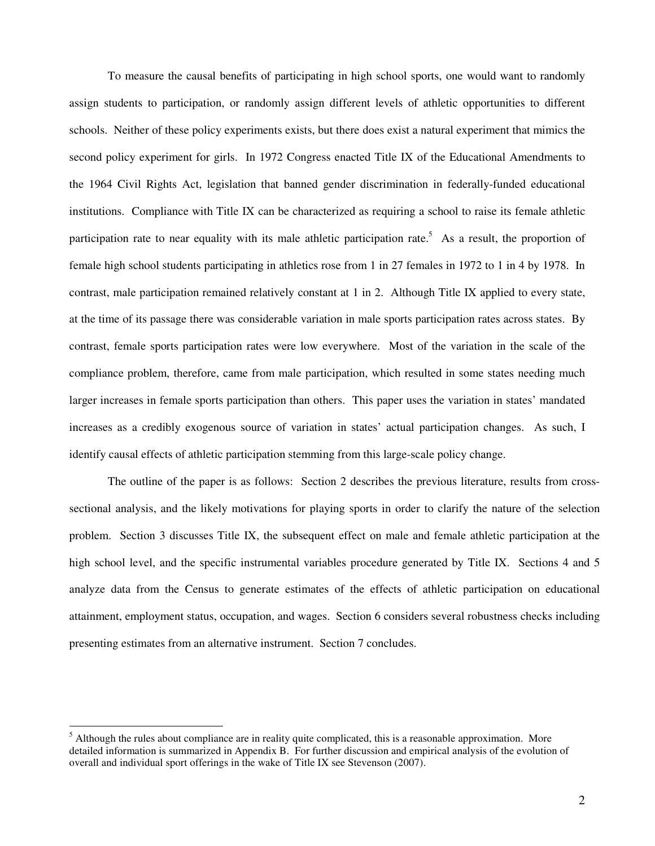To measure the causal benefits of participating in high school sports, one would want to randomly assign students to participation, or randomly assign different levels of athletic opportunities to different schools. Neither of these policy experiments exists, but there does exist a natural experiment that mimics the second policy experiment for girls. In 1972 Congress enacted Title IX of the Educational Amendments to the 1964 Civil Rights Act, legislation that banned gender discrimination in federally-funded educational institutions. Compliance with Title IX can be characterized as requiring a school to raise its female athletic participation rate to near equality with its male athletic participation rate.<sup>5</sup> As a result, the proportion of female high school students participating in athletics rose from 1 in 27 females in 1972 to 1 in 4 by 1978. In contrast, male participation remained relatively constant at 1 in 2. Although Title IX applied to every state, at the time of its passage there was considerable variation in male sports participation rates across states. By contrast, female sports participation rates were low everywhere. Most of the variation in the scale of the compliance problem, therefore, came from male participation, which resulted in some states needing much larger increases in female sports participation than others. This paper uses the variation in states' mandated increases as a credibly exogenous source of variation in states' actual participation changes. As such, I identify causal effects of athletic participation stemming from this large-scale policy change.

The outline of the paper is as follows: Section 2 describes the previous literature, results from crosssectional analysis, and the likely motivations for playing sports in order to clarify the nature of the selection problem. Section 3 discusses Title IX, the subsequent effect on male and female athletic participation at the high school level, and the specific instrumental variables procedure generated by Title IX. Sections 4 and 5 analyze data from the Census to generate estimates of the effects of athletic participation on educational attainment, employment status, occupation, and wages. Section 6 considers several robustness checks including presenting estimates from an alternative instrument. Section 7 concludes.

<sup>&</sup>lt;sup>5</sup> Although the rules about compliance are in reality quite complicated, this is a reasonable approximation. More detailed information is summarized in Appendix B. For further discussion and empirical analysis of the evolution of overall and individual sport offerings in the wake of Title IX see Stevenson (2007).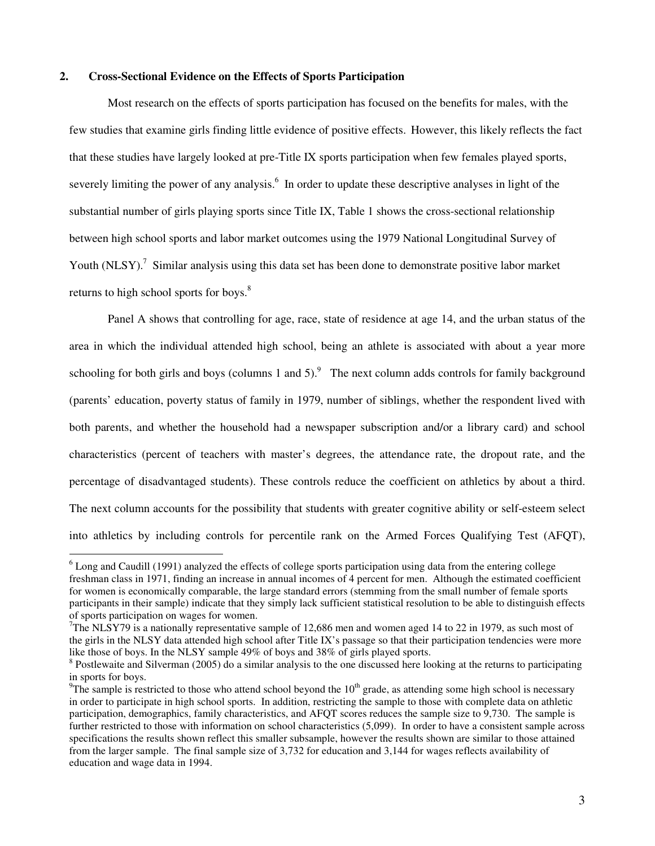## **2. Cross-Sectional Evidence on the Effects of Sports Participation**

 $\overline{a}$ 

Most research on the effects of sports participation has focused on the benefits for males, with the few studies that examine girls finding little evidence of positive effects. However, this likely reflects the fact that these studies have largely looked at pre-Title IX sports participation when few females played sports, severely limiting the power of any analysis.<sup>6</sup> In order to update these descriptive analyses in light of the substantial number of girls playing sports since Title IX, Table 1 shows the cross-sectional relationship between high school sports and labor market outcomes using the 1979 National Longitudinal Survey of Youth (NLSY).<sup>7</sup> Similar analysis using this data set has been done to demonstrate positive labor market returns to high school sports for boys.<sup>8</sup>

Panel A shows that controlling for age, race, state of residence at age 14, and the urban status of the area in which the individual attended high school, being an athlete is associated with about a year more schooling for both girls and boys (columns 1 and  $5$ ).<sup>9</sup> The next column adds controls for family background (parents' education, poverty status of family in 1979, number of siblings, whether the respondent lived with both parents, and whether the household had a newspaper subscription and/or a library card) and school characteristics (percent of teachers with master's degrees, the attendance rate, the dropout rate, and the percentage of disadvantaged students). These controls reduce the coefficient on athletics by about a third. The next column accounts for the possibility that students with greater cognitive ability or self-esteem select into athletics by including controls for percentile rank on the Armed Forces Qualifying Test (AFQT),

<sup>&</sup>lt;sup>6</sup> Long and Caudill (1991) analyzed the effects of college sports participation using data from the entering college freshman class in 1971, finding an increase in annual incomes of 4 percent for men. Although the estimated coefficient for women is economically comparable, the large standard errors (stemming from the small number of female sports participants in their sample) indicate that they simply lack sufficient statistical resolution to be able to distinguish effects of sports participation on wages for women.

<sup>&</sup>lt;sup>7</sup>The NLSY79 is a nationally representative sample of 12,686 men and women aged 14 to 22 in 1979, as such most of the girls in the NLSY data attended high school after Title IX's passage so that their participation tendencies were more like those of boys. In the NLSY sample 49% of boys and 38% of girls played sports.

<sup>&</sup>lt;sup>8</sup> Postlewaite and Silverman (2005) do a similar analysis to the one discussed here looking at the returns to participating in sports for boys.

 $9T$ he sample is restricted to those who attend school beyond the  $10<sup>th</sup>$  grade, as attending some high school is necessary in order to participate in high school sports. In addition, restricting the sample to those with complete data on athletic participation, demographics, family characteristics, and AFQT scores reduces the sample size to 9,730. The sample is further restricted to those with information on school characteristics (5,099). In order to have a consistent sample across specifications the results shown reflect this smaller subsample, however the results shown are similar to those attained from the larger sample. The final sample size of 3,732 for education and 3,144 for wages reflects availability of education and wage data in 1994.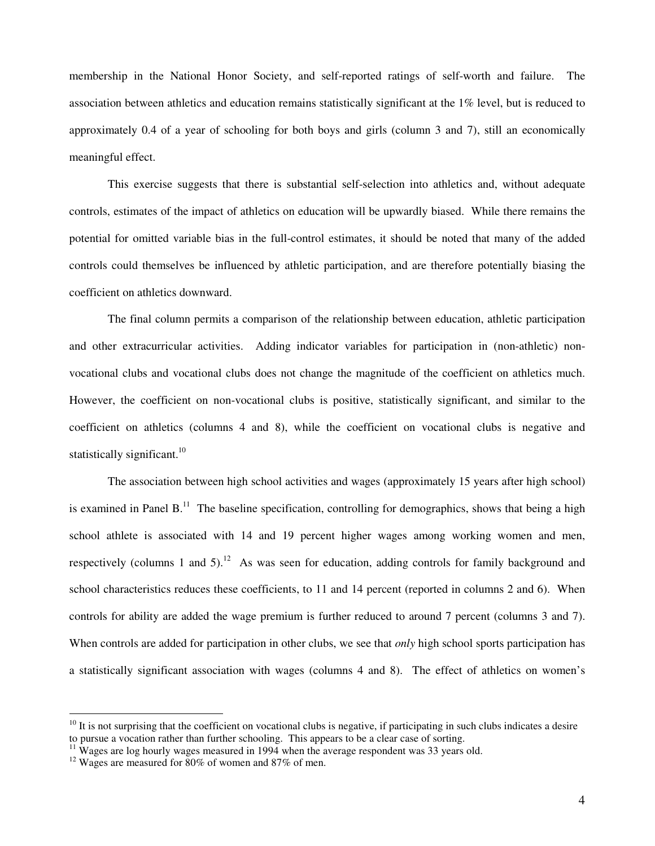membership in the National Honor Society, and self-reported ratings of self-worth and failure. The association between athletics and education remains statistically significant at the 1% level, but is reduced to approximately 0.4 of a year of schooling for both boys and girls (column 3 and 7), still an economically meaningful effect.

This exercise suggests that there is substantial self-selection into athletics and, without adequate controls, estimates of the impact of athletics on education will be upwardly biased. While there remains the potential for omitted variable bias in the full-control estimates, it should be noted that many of the added controls could themselves be influenced by athletic participation, and are therefore potentially biasing the coefficient on athletics downward.

The final column permits a comparison of the relationship between education, athletic participation and other extracurricular activities. Adding indicator variables for participation in (non-athletic) nonvocational clubs and vocational clubs does not change the magnitude of the coefficient on athletics much. However, the coefficient on non-vocational clubs is positive, statistically significant, and similar to the coefficient on athletics (columns 4 and 8), while the coefficient on vocational clubs is negative and statistically significant.<sup>10</sup>

The association between high school activities and wages (approximately 15 years after high school) is examined in Panel  $B<sup>11</sup>$ . The baseline specification, controlling for demographics, shows that being a high school athlete is associated with 14 and 19 percent higher wages among working women and men, respectively (columns 1 and 5).<sup>12</sup> As was seen for education, adding controls for family background and school characteristics reduces these coefficients, to 11 and 14 percent (reported in columns 2 and 6). When controls for ability are added the wage premium is further reduced to around 7 percent (columns 3 and 7). When controls are added for participation in other clubs, we see that *only* high school sports participation has a statistically significant association with wages (columns 4 and 8). The effect of athletics on women's

 $10$  It is not surprising that the coefficient on vocational clubs is negative, if participating in such clubs indicates a desire to pursue a vocation rather than further schooling. This appears to be a clear case of sorting.

 $11 \text{ W}$  Wages are log hourly wages measured in 1994 when the average respondent was 33 years old.

 $12$  Wages are measured for 80% of women and 87% of men.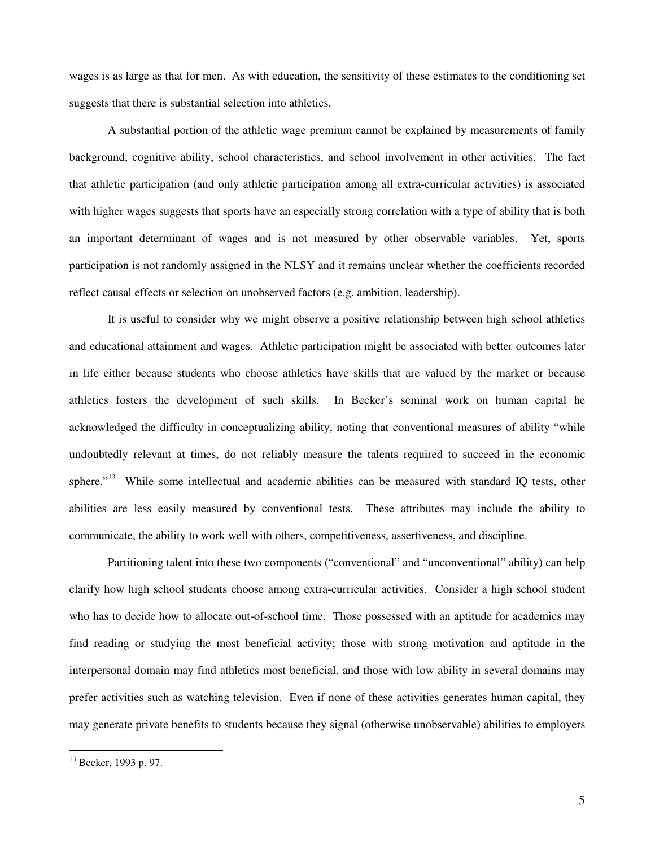wages is as large as that for men. As with education, the sensitivity of these estimates to the conditioning set suggests that there is substantial selection into athletics.

A substantial portion of the athletic wage premium cannot be explained by measurements of family background, cognitive ability, school characteristics, and school involvement in other activities. The fact that athletic participation (and only athletic participation among all extra-curricular activities) is associated with higher wages suggests that sports have an especially strong correlation with a type of ability that is both an important determinant of wages and is not measured by other observable variables. Yet, sports participation is not randomly assigned in the NLSY and it remains unclear whether the coefficients recorded reflect causal effects or selection on unobserved factors (e.g. ambition, leadership).

It is useful to consider why we might observe a positive relationship between high school athletics and educational attainment and wages. Athletic participation might be associated with better outcomes later in life either because students who choose athletics have skills that are valued by the market or because athletics fosters the development of such skills. In Becker's seminal work on human capital he acknowledged the difficulty in conceptualizing ability, noting that conventional measures of ability "while undoubtedly relevant at times, do not reliably measure the talents required to succeed in the economic sphere."<sup>13</sup> While some intellectual and academic abilities can be measured with standard IQ tests, other abilities are less easily measured by conventional tests. These attributes may include the ability to communicate, the ability to work well with others, competitiveness, assertiveness, and discipline.

Partitioning talent into these two components ("conventional" and "unconventional" ability) can help clarify how high school students choose among extra-curricular activities. Consider a high school student who has to decide how to allocate out-of-school time. Those possessed with an aptitude for academics may find reading or studying the most beneficial activity; those with strong motivation and aptitude in the interpersonal domain may find athletics most beneficial, and those with low ability in several domains may prefer activities such as watching television. Even if none of these activities generates human capital, they may generate private benefits to students because they signal (otherwise unobservable) abilities to employers

<sup>&</sup>lt;sup>13</sup> Becker, 1993 p. 97.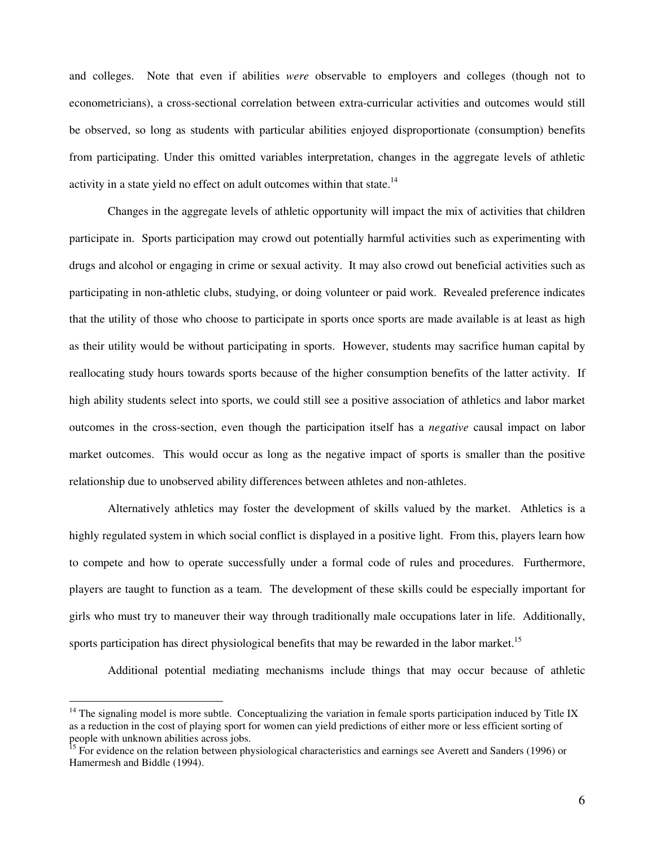and colleges. Note that even if abilities *were* observable to employers and colleges (though not to econometricians), a cross-sectional correlation between extra-curricular activities and outcomes would still be observed, so long as students with particular abilities enjoyed disproportionate (consumption) benefits from participating. Under this omitted variables interpretation, changes in the aggregate levels of athletic activity in a state yield no effect on adult outcomes within that state.<sup>14</sup>

Changes in the aggregate levels of athletic opportunity will impact the mix of activities that children participate in. Sports participation may crowd out potentially harmful activities such as experimenting with drugs and alcohol or engaging in crime or sexual activity. It may also crowd out beneficial activities such as participating in non-athletic clubs, studying, or doing volunteer or paid work. Revealed preference indicates that the utility of those who choose to participate in sports once sports are made available is at least as high as their utility would be without participating in sports. However, students may sacrifice human capital by reallocating study hours towards sports because of the higher consumption benefits of the latter activity. If high ability students select into sports, we could still see a positive association of athletics and labor market outcomes in the cross-section, even though the participation itself has a *negative* causal impact on labor market outcomes. This would occur as long as the negative impact of sports is smaller than the positive relationship due to unobserved ability differences between athletes and non-athletes.

Alternatively athletics may foster the development of skills valued by the market. Athletics is a highly regulated system in which social conflict is displayed in a positive light. From this, players learn how to compete and how to operate successfully under a formal code of rules and procedures. Furthermore, players are taught to function as a team. The development of these skills could be especially important for girls who must try to maneuver their way through traditionally male occupations later in life. Additionally, sports participation has direct physiological benefits that may be rewarded in the labor market.<sup>15</sup>

Additional potential mediating mechanisms include things that may occur because of athletic

 $14$  The signaling model is more subtle. Conceptualizing the variation in female sports participation induced by Title IX as a reduction in the cost of playing sport for women can yield predictions of either more or less efficient sorting of people with unknown abilities across jobs.

<sup>&</sup>lt;sup>15</sup> For evidence on the relation between physiological characteristics and earnings see Averett and Sanders (1996) or Hamermesh and Biddle (1994).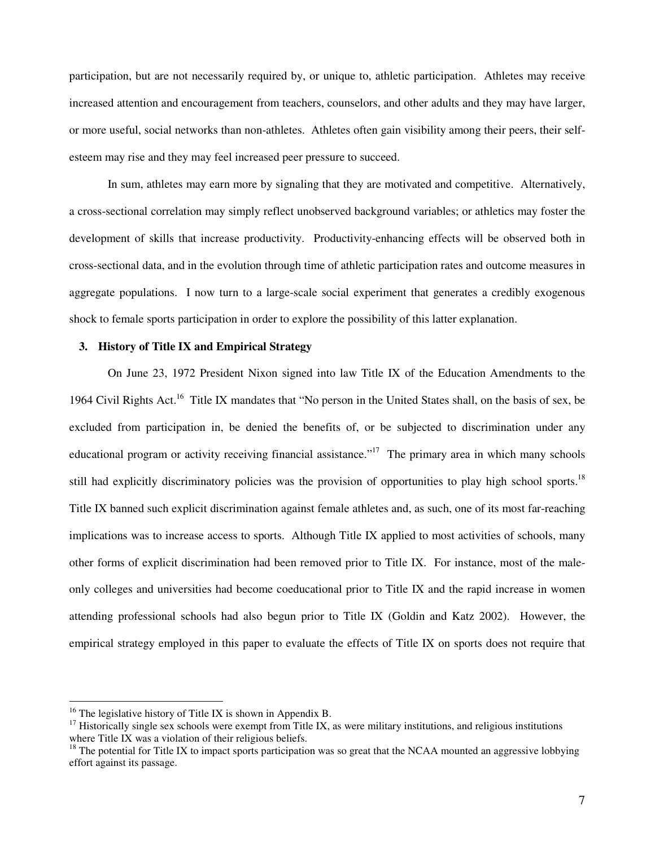participation, but are not necessarily required by, or unique to, athletic participation. Athletes may receive increased attention and encouragement from teachers, counselors, and other adults and they may have larger, or more useful, social networks than non-athletes. Athletes often gain visibility among their peers, their selfesteem may rise and they may feel increased peer pressure to succeed.

In sum, athletes may earn more by signaling that they are motivated and competitive. Alternatively, a cross-sectional correlation may simply reflect unobserved background variables; or athletics may foster the development of skills that increase productivity. Productivity-enhancing effects will be observed both in cross-sectional data, and in the evolution through time of athletic participation rates and outcome measures in aggregate populations. I now turn to a large-scale social experiment that generates a credibly exogenous shock to female sports participation in order to explore the possibility of this latter explanation.

## **3. History of Title IX and Empirical Strategy**

On June 23, 1972 President Nixon signed into law Title IX of the Education Amendments to the 1964 Civil Rights Act.<sup>16</sup> Title IX mandates that "No person in the United States shall, on the basis of sex, be excluded from participation in, be denied the benefits of, or be subjected to discrimination under any educational program or activity receiving financial assistance."<sup>17</sup> The primary area in which many schools still had explicitly discriminatory policies was the provision of opportunities to play high school sports.<sup>18</sup> Title IX banned such explicit discrimination against female athletes and, as such, one of its most far-reaching implications was to increase access to sports. Although Title IX applied to most activities of schools, many other forms of explicit discrimination had been removed prior to Title IX. For instance, most of the maleonly colleges and universities had become coeducational prior to Title IX and the rapid increase in women attending professional schools had also begun prior to Title IX (Goldin and Katz 2002). However, the empirical strategy employed in this paper to evaluate the effects of Title IX on sports does not require that

 $16$  The legislative history of Title IX is shown in Appendix B.

<sup>&</sup>lt;sup>17</sup> Historically single sex schools were exempt from Title IX, as were military institutions, and religious institutions where Title IX was a violation of their religious beliefs.

 $18$  The potential for Title IX to impact sports participation was so great that the NCAA mounted an aggressive lobbying effort against its passage.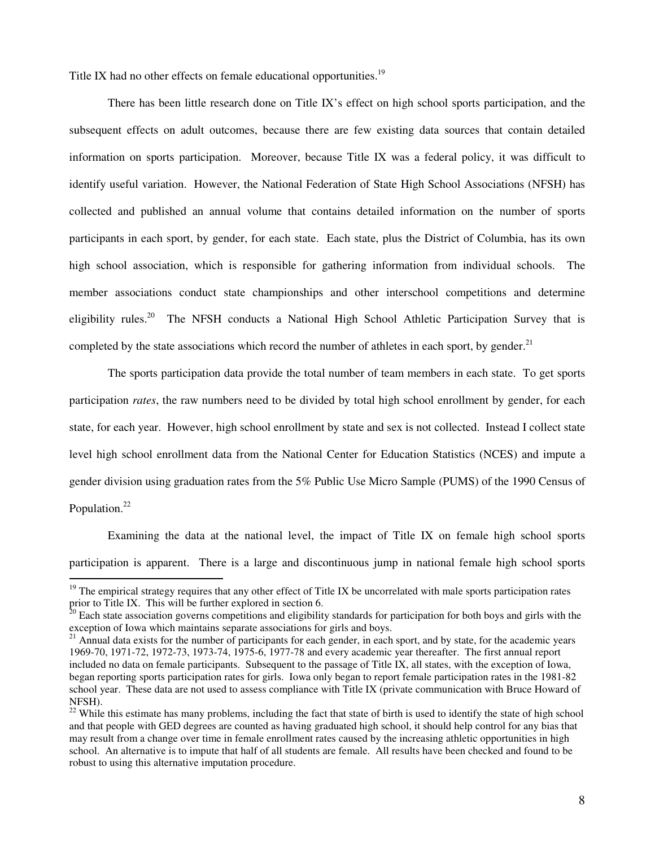Title IX had no other effects on female educational opportunities.<sup>19</sup>

There has been little research done on Title IX's effect on high school sports participation, and the subsequent effects on adult outcomes, because there are few existing data sources that contain detailed information on sports participation. Moreover, because Title IX was a federal policy, it was difficult to identify useful variation. However, the National Federation of State High School Associations (NFSH) has collected and published an annual volume that contains detailed information on the number of sports participants in each sport, by gender, for each state. Each state, plus the District of Columbia, has its own high school association, which is responsible for gathering information from individual schools. The member associations conduct state championships and other interschool competitions and determine eligibility rules.<sup>20</sup> The NFSH conducts a National High School Athletic Participation Survey that is completed by the state associations which record the number of athletes in each sport, by gender. $^{21}$ 

The sports participation data provide the total number of team members in each state. To get sports participation *rates*, the raw numbers need to be divided by total high school enrollment by gender, for each state, for each year. However, high school enrollment by state and sex is not collected. Instead I collect state level high school enrollment data from the National Center for Education Statistics (NCES) and impute a gender division using graduation rates from the 5% Public Use Micro Sample (PUMS) of the 1990 Census of Population.<sup>22</sup>

Examining the data at the national level, the impact of Title IX on female high school sports participation is apparent. There is a large and discontinuous jump in national female high school sports

 $19$  The empirical strategy requires that any other effect of Title IX be uncorrelated with male sports participation rates prior to Title IX. This will be further explored in section 6.

<sup>20</sup> Each state association governs competitions and eligibility standards for participation for both boys and girls with the exception of Iowa which maintains separate associations for girls and boys.

 $21$  Annual data exists for the number of participants for each gender, in each sport, and by state, for the academic years 1969-70, 1971-72, 1972-73, 1973-74, 1975-6, 1977-78 and every academic year thereafter. The first annual report included no data on female participants. Subsequent to the passage of Title IX, all states, with the exception of Iowa, began reporting sports participation rates for girls. Iowa only began to report female participation rates in the 1981-82 school year. These data are not used to assess compliance with Title IX (private communication with Bruce Howard of NFSH).

 $22$  While this estimate has many problems, including the fact that state of birth is used to identify the state of high school and that people with GED degrees are counted as having graduated high school, it should help control for any bias that may result from a change over time in female enrollment rates caused by the increasing athletic opportunities in high school. An alternative is to impute that half of all students are female. All results have been checked and found to be robust to using this alternative imputation procedure.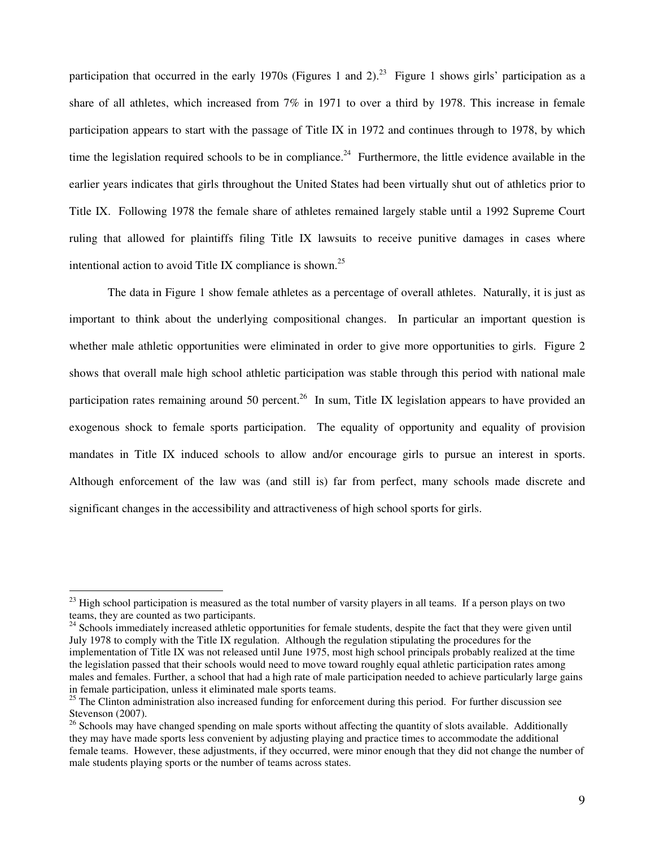participation that occurred in the early 1970s (Figures 1 and 2).<sup>23</sup> Figure 1 shows girls' participation as a share of all athletes, which increased from 7% in 1971 to over a third by 1978. This increase in female participation appears to start with the passage of Title IX in 1972 and continues through to 1978, by which time the legislation required schools to be in compliance.<sup>24</sup> Furthermore, the little evidence available in the earlier years indicates that girls throughout the United States had been virtually shut out of athletics prior to Title IX. Following 1978 the female share of athletes remained largely stable until a 1992 Supreme Court ruling that allowed for plaintiffs filing Title IX lawsuits to receive punitive damages in cases where intentional action to avoid Title IX compliance is shown.<sup>25</sup>

The data in Figure 1 show female athletes as a percentage of overall athletes. Naturally, it is just as important to think about the underlying compositional changes. In particular an important question is whether male athletic opportunities were eliminated in order to give more opportunities to girls. Figure 2 shows that overall male high school athletic participation was stable through this period with national male participation rates remaining around 50 percent.<sup>26</sup> In sum, Title IX legislation appears to have provided an exogenous shock to female sports participation. The equality of opportunity and equality of provision mandates in Title IX induced schools to allow and/or encourage girls to pursue an interest in sports. Although enforcement of the law was (and still is) far from perfect, many schools made discrete and significant changes in the accessibility and attractiveness of high school sports for girls.

 $23$  High school participation is measured as the total number of varsity players in all teams. If a person plays on two teams, they are counted as two participants.

 $24$  Schools immediately increased athletic opportunities for female students, despite the fact that they were given until July 1978 to comply with the Title IX regulation. Although the regulation stipulating the procedures for the implementation of Title IX was not released until June 1975, most high school principals probably realized at the time the legislation passed that their schools would need to move toward roughly equal athletic participation rates among males and females. Further, a school that had a high rate of male participation needed to achieve particularly large gains in female participation, unless it eliminated male sports teams.

 $25$  The Clinton administration also increased funding for enforcement during this period. For further discussion see Stevenson (2007).

 $26$  Schools may have changed spending on male sports without affecting the quantity of slots available. Additionally they may have made sports less convenient by adjusting playing and practice times to accommodate the additional female teams. However, these adjustments, if they occurred, were minor enough that they did not change the number of male students playing sports or the number of teams across states.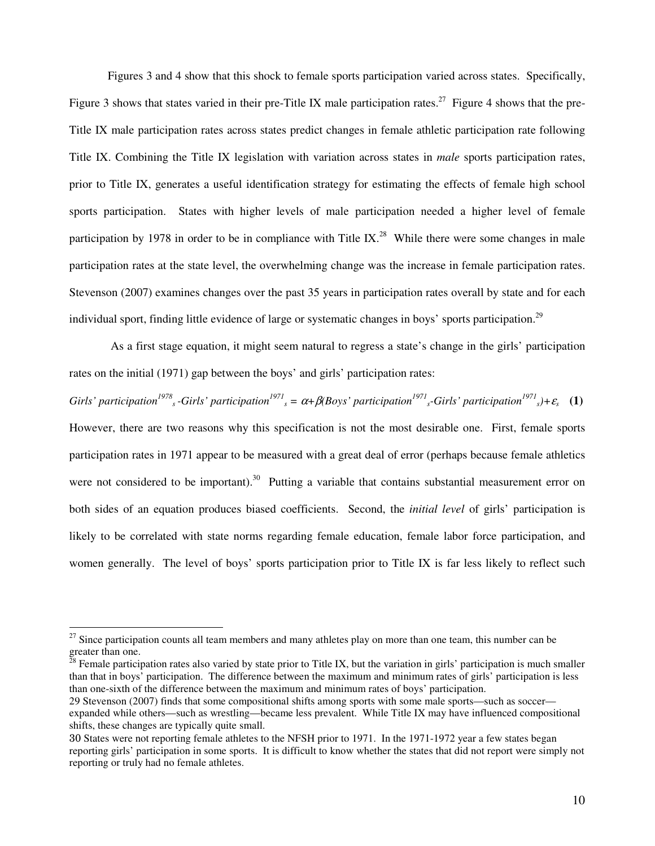Figures 3 and 4 show that this shock to female sports participation varied across states. Specifically, Figure 3 shows that states varied in their pre-Title IX male participation rates.<sup>27</sup> Figure 4 shows that the pre-Title IX male participation rates across states predict changes in female athletic participation rate following Title IX. Combining the Title IX legislation with variation across states in *male* sports participation rates, prior to Title IX, generates a useful identification strategy for estimating the effects of female high school sports participation. States with higher levels of male participation needed a higher level of female participation by 1978 in order to be in compliance with Title IX.<sup>28</sup> While there were some changes in male participation rates at the state level, the overwhelming change was the increase in female participation rates. Stevenson (2007) examines changes over the past 35 years in participation rates overall by state and for each individual sport, finding little evidence of large or systematic changes in boys' sports participation.<sup>29</sup>

 As a first stage equation, it might seem natural to regress a state's change in the girls' participation rates on the initial (1971) gap between the boys' and girls' participation rates:

Girls' participation<sup>1978</sup><sub>s</sub>-Girls' participation<sup>1971</sup><sub>s</sub> =  $\alpha+\beta$ (Boys' participation<sup>1971</sup><sub>s</sub>-Girls' participation<sup>1971</sup><sub>s</sub>)+ $\varepsilon$ <sub>s</sub> (1) However, there are two reasons why this specification is not the most desirable one. First, female sports participation rates in 1971 appear to be measured with a great deal of error (perhaps because female athletics were not considered to be important).<sup>30</sup> Putting a variable that contains substantial measurement error on both sides of an equation produces biased coefficients. Second, the *initial level* of girls' participation is likely to be correlated with state norms regarding female education, female labor force participation, and women generally. The level of boys' sports participation prior to Title IX is far less likely to reflect such

 $27$  Since participation counts all team members and many athletes play on more than one team, this number can be  $\frac{1}{28}$  greater than one.

<sup>28</sup> Female participation rates also varied by state prior to Title IX, but the variation in girls' participation is much smaller than that in boys' participation. The difference between the maximum and minimum rates of girls' participation is less than one-sixth of the difference between the maximum and minimum rates of boys' participation.

<sup>29</sup> Stevenson (2007) finds that some compositional shifts among sports with some male sports—such as soccer expanded while others—such as wrestling—became less prevalent. While Title IX may have influenced compositional shifts, these changes are typically quite small.

<sup>30</sup> States were not reporting female athletes to the NFSH prior to 1971. In the 1971-1972 year a few states began reporting girls' participation in some sports. It is difficult to know whether the states that did not report were simply not reporting or truly had no female athletes.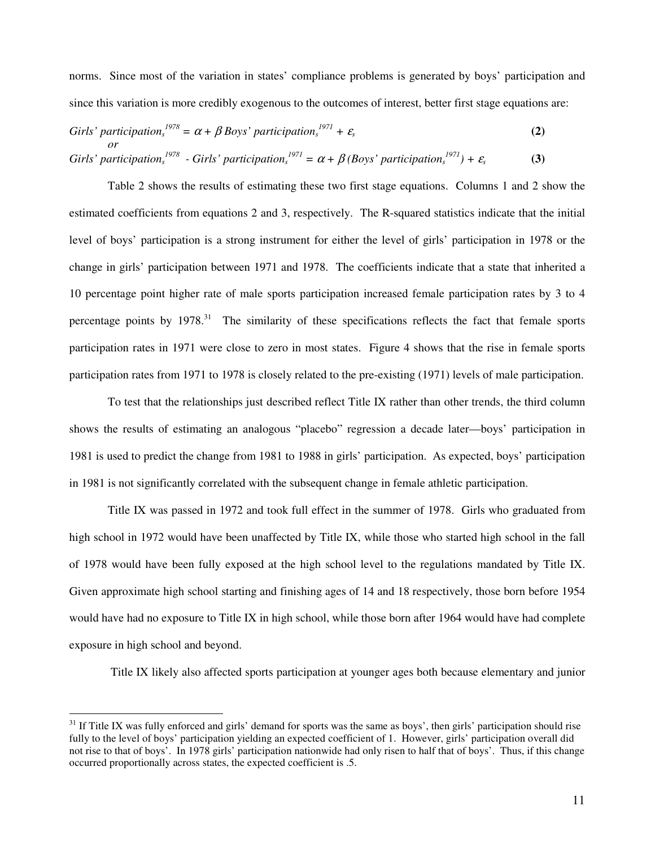norms. Since most of the variation in states' compliance problems is generated by boys' participation and since this variation is more credibly exogenous to the outcomes of interest, better first stage equations are:

\n
$$
\text{Girls'} \text{partition}^{1978} = \alpha + \beta \text{Boys'} \text{partition}^{1971} + \varepsilon_s
$$
\n  
\n*or*\n

\n\n $\text{Girls'} \text{partition}^{1978} - \text{Girls'} \text{ participation}^{1971} = \alpha + \beta \text{ (Boys'} \text{ participation}^{1971}) + \varepsilon_s$ \n

\n\n (3)\n

Table 2 shows the results of estimating these two first stage equations. Columns 1 and 2 show the estimated coefficients from equations 2 and 3, respectively. The R-squared statistics indicate that the initial level of boys' participation is a strong instrument for either the level of girls' participation in 1978 or the change in girls' participation between 1971 and 1978. The coefficients indicate that a state that inherited a 10 percentage point higher rate of male sports participation increased female participation rates by 3 to 4 percentage points by  $1978$ <sup>31</sup>. The similarity of these specifications reflects the fact that female sports participation rates in 1971 were close to zero in most states. Figure 4 shows that the rise in female sports participation rates from 1971 to 1978 is closely related to the pre-existing (1971) levels of male participation.

To test that the relationships just described reflect Title IX rather than other trends, the third column shows the results of estimating an analogous "placebo" regression a decade later—boys' participation in 1981 is used to predict the change from 1981 to 1988 in girls' participation. As expected, boys' participation in 1981 is not significantly correlated with the subsequent change in female athletic participation.

Title IX was passed in 1972 and took full effect in the summer of 1978. Girls who graduated from high school in 1972 would have been unaffected by Title IX, while those who started high school in the fall of 1978 would have been fully exposed at the high school level to the regulations mandated by Title IX. Given approximate high school starting and finishing ages of 14 and 18 respectively, those born before 1954 would have had no exposure to Title IX in high school, while those born after 1964 would have had complete exposure in high school and beyond.

Title IX likely also affected sports participation at younger ages both because elementary and junior

 $31$  If Title IX was fully enforced and girls' demand for sports was the same as boys', then girls' participation should rise fully to the level of boys' participation yielding an expected coefficient of 1. However, girls' participation overall did not rise to that of boys'. In 1978 girls' participation nationwide had only risen to half that of boys'. Thus, if this change occurred proportionally across states, the expected coefficient is .5.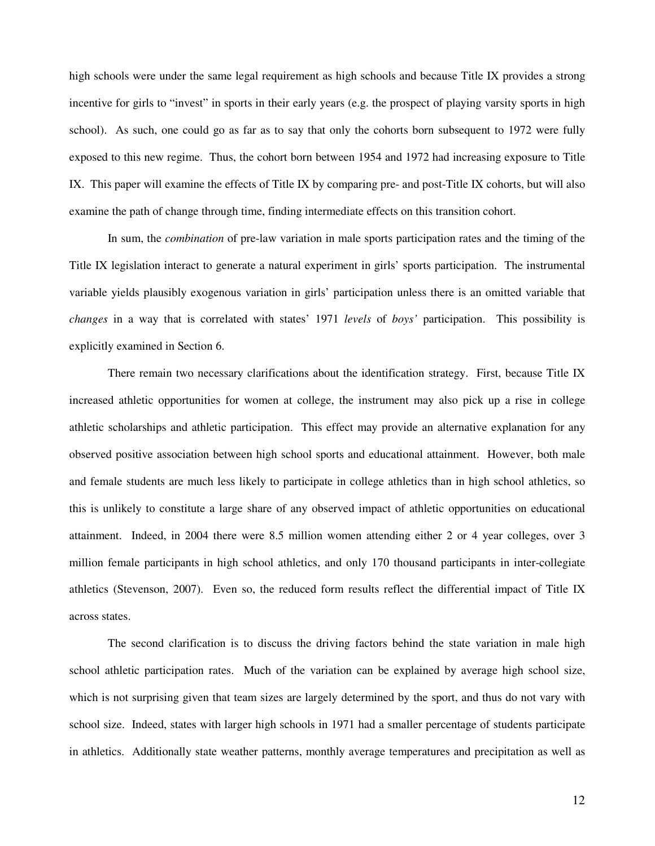high schools were under the same legal requirement as high schools and because Title IX provides a strong incentive for girls to "invest" in sports in their early years (e.g. the prospect of playing varsity sports in high school). As such, one could go as far as to say that only the cohorts born subsequent to 1972 were fully exposed to this new regime. Thus, the cohort born between 1954 and 1972 had increasing exposure to Title IX. This paper will examine the effects of Title IX by comparing pre- and post-Title IX cohorts, but will also examine the path of change through time, finding intermediate effects on this transition cohort.

In sum, the *combination* of pre-law variation in male sports participation rates and the timing of the Title IX legislation interact to generate a natural experiment in girls' sports participation. The instrumental variable yields plausibly exogenous variation in girls' participation unless there is an omitted variable that *changes* in a way that is correlated with states' 1971 *levels* of *boys'* participation. This possibility is explicitly examined in Section 6.

There remain two necessary clarifications about the identification strategy. First, because Title IX increased athletic opportunities for women at college, the instrument may also pick up a rise in college athletic scholarships and athletic participation. This effect may provide an alternative explanation for any observed positive association between high school sports and educational attainment. However, both male and female students are much less likely to participate in college athletics than in high school athletics, so this is unlikely to constitute a large share of any observed impact of athletic opportunities on educational attainment. Indeed, in 2004 there were 8.5 million women attending either 2 or 4 year colleges, over 3 million female participants in high school athletics, and only 170 thousand participants in inter-collegiate athletics (Stevenson, 2007). Even so, the reduced form results reflect the differential impact of Title IX across states.

The second clarification is to discuss the driving factors behind the state variation in male high school athletic participation rates. Much of the variation can be explained by average high school size, which is not surprising given that team sizes are largely determined by the sport, and thus do not vary with school size. Indeed, states with larger high schools in 1971 had a smaller percentage of students participate in athletics. Additionally state weather patterns, monthly average temperatures and precipitation as well as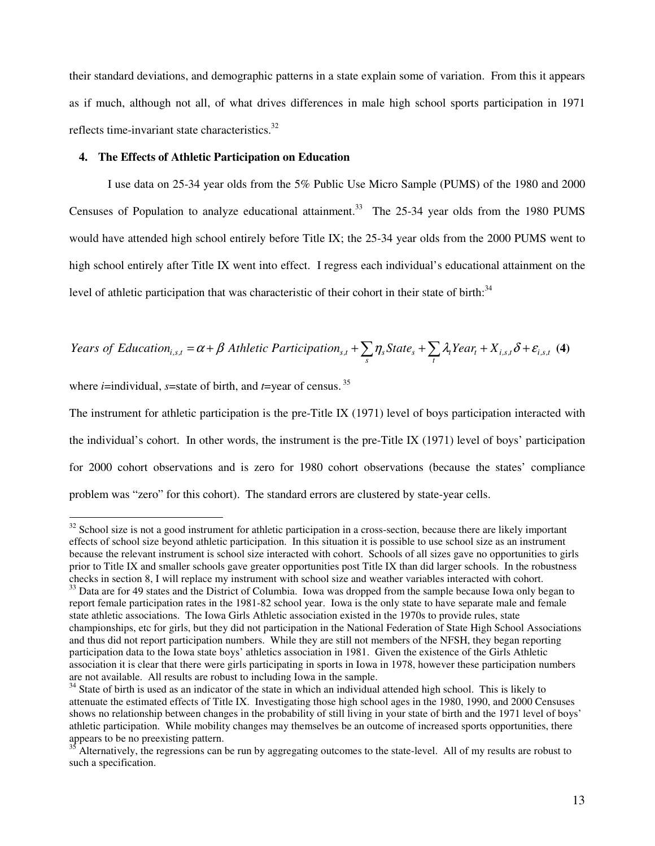their standard deviations, and demographic patterns in a state explain some of variation. From this it appears as if much, although not all, of what drives differences in male high school sports participation in 1971 reflects time-invariant state characteristics.<sup>32</sup>

#### **4. The Effects of Athletic Participation on Education**

I use data on 25-34 year olds from the 5% Public Use Micro Sample (PUMS) of the 1980 and 2000 Censuses of Population to analyze educational attainment.<sup>33</sup> The 25-34 year olds from the 1980 PUMS would have attended high school entirely before Title IX; the 25-34 year olds from the 2000 PUMS went to high school entirely after Title IX went into effect. I regress each individual's educational attainment on the level of athletic participation that was characteristic of their cohort in their state of birth:<sup>34</sup>

$$
Years \ of \ Education_{i,s,t} = \alpha + \beta \ A \ thletic \ Partition_{s,t} + \sum_{s} \eta_{s} State_{s} + \sum_{t} \lambda_{t} Year_{t} + X_{i,s,t} \delta + \varepsilon_{i,s,t} \tag{4}
$$

where *i*=individual, *s*=state of birth, and *t*=year of census.<sup>35</sup>

 $\overline{a}$ 

The instrument for athletic participation is the pre-Title IX (1971) level of boys participation interacted with the individual's cohort. In other words, the instrument is the pre-Title IX (1971) level of boys' participation for 2000 cohort observations and is zero for 1980 cohort observations (because the states' compliance problem was "zero" for this cohort). The standard errors are clustered by state-year cells.

 $32$  School size is not a good instrument for athletic participation in a cross-section, because there are likely important effects of school size beyond athletic participation. In this situation it is possible to use school size as an instrument because the relevant instrument is school size interacted with cohort. Schools of all sizes gave no opportunities to girls prior to Title IX and smaller schools gave greater opportunities post Title IX than did larger schools. In the robustness checks in section 8, I will replace my instrument with school size and weather variables interacted with cohort.

<sup>&</sup>lt;sup>33</sup> Data are for 49 states and the District of Columbia. Iowa was dropped from the sample because Iowa only began to report female participation rates in the 1981-82 school year. Iowa is the only state to have separate male and female state athletic associations. The Iowa Girls Athletic association existed in the 1970s to provide rules, state championships, etc for girls, but they did not participation in the National Federation of State High School Associations and thus did not report participation numbers. While they are still not members of the NFSH, they began reporting participation data to the Iowa state boys' athletics association in 1981. Given the existence of the Girls Athletic association it is clear that there were girls participating in sports in Iowa in 1978, however these participation numbers are not available. All results are robust to including Iowa in the sample.

<sup>&</sup>lt;sup>34</sup> State of birth is used as an indicator of the state in which an individual attended high school. This is likely to attenuate the estimated effects of Title IX. Investigating those high school ages in the 1980, 1990, and 2000 Censuses shows no relationship between changes in the probability of still living in your state of birth and the 1971 level of boys' athletic participation. While mobility changes may themselves be an outcome of increased sports opportunities, there appears to be no preexisting pattern.

<sup>35</sup> Alternatively, the regressions can be run by aggregating outcomes to the state-level. All of my results are robust to such a specification.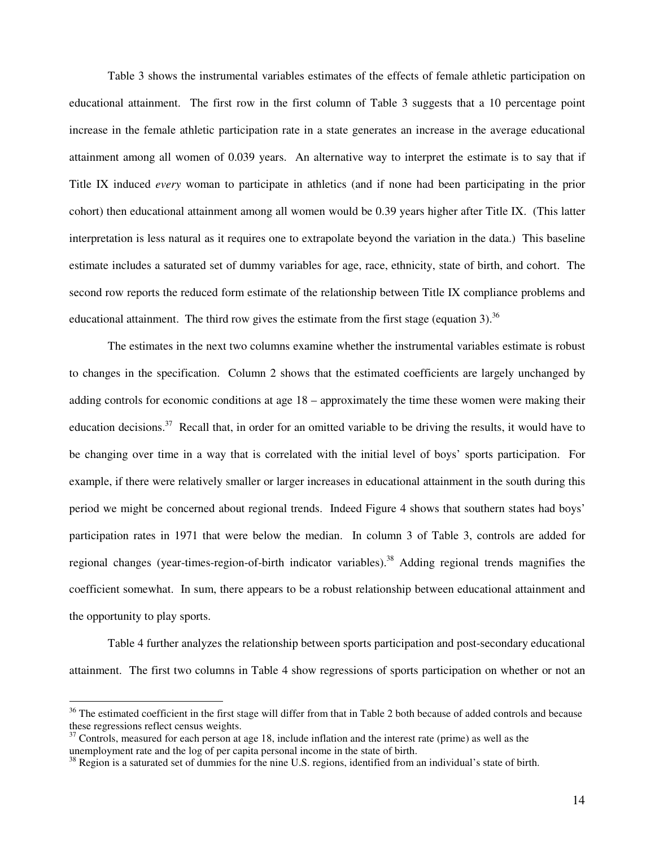Table 3 shows the instrumental variables estimates of the effects of female athletic participation on educational attainment. The first row in the first column of Table 3 suggests that a 10 percentage point increase in the female athletic participation rate in a state generates an increase in the average educational attainment among all women of 0.039 years. An alternative way to interpret the estimate is to say that if Title IX induced *every* woman to participate in athletics (and if none had been participating in the prior cohort) then educational attainment among all women would be 0.39 years higher after Title IX. (This latter interpretation is less natural as it requires one to extrapolate beyond the variation in the data.) This baseline estimate includes a saturated set of dummy variables for age, race, ethnicity, state of birth, and cohort. The second row reports the reduced form estimate of the relationship between Title IX compliance problems and educational attainment. The third row gives the estimate from the first stage (equation 3).<sup>36</sup>

The estimates in the next two columns examine whether the instrumental variables estimate is robust to changes in the specification. Column 2 shows that the estimated coefficients are largely unchanged by adding controls for economic conditions at age 18 – approximately the time these women were making their education decisions.<sup>37</sup> Recall that, in order for an omitted variable to be driving the results, it would have to be changing over time in a way that is correlated with the initial level of boys' sports participation. For example, if there were relatively smaller or larger increases in educational attainment in the south during this period we might be concerned about regional trends. Indeed Figure 4 shows that southern states had boys' participation rates in 1971 that were below the median. In column 3 of Table 3, controls are added for regional changes (year-times-region-of-birth indicator variables).<sup>38</sup> Adding regional trends magnifies the coefficient somewhat. In sum, there appears to be a robust relationship between educational attainment and the opportunity to play sports.

Table 4 further analyzes the relationship between sports participation and post-secondary educational attainment. The first two columns in Table 4 show regressions of sports participation on whether or not an

 $36$  The estimated coefficient in the first stage will differ from that in Table 2 both because of added controls and because these regressions reflect census weights.

 $37$  Controls, measured for each person at age 18, include inflation and the interest rate (prime) as well as the unemployment rate and the log of per capita personal income in the state of birth.

 $38$  Region is a saturated set of dummies for the nine U.S. regions, identified from an individual's state of birth.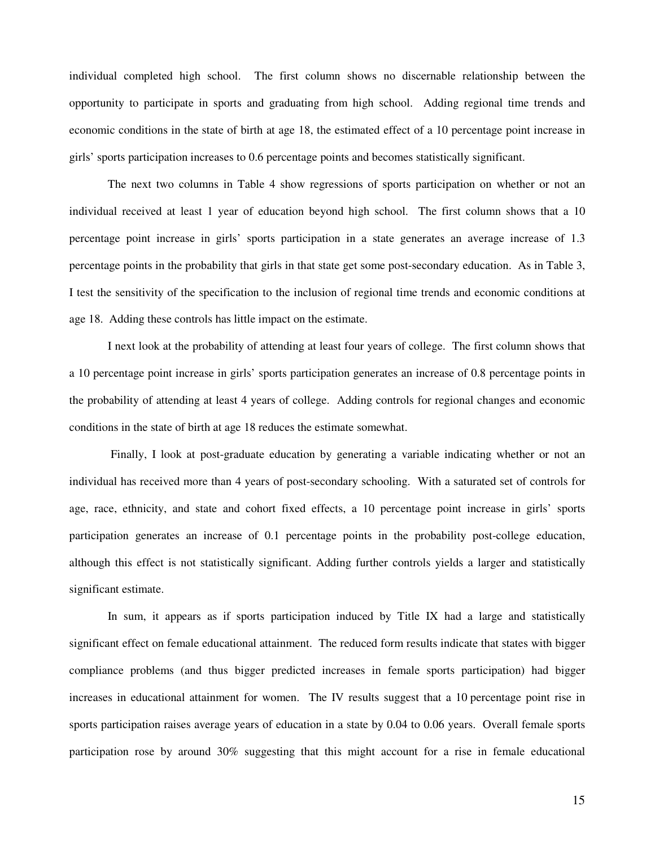individual completed high school. The first column shows no discernable relationship between the opportunity to participate in sports and graduating from high school. Adding regional time trends and economic conditions in the state of birth at age 18, the estimated effect of a 10 percentage point increase in girls' sports participation increases to 0.6 percentage points and becomes statistically significant.

The next two columns in Table 4 show regressions of sports participation on whether or not an individual received at least 1 year of education beyond high school. The first column shows that a 10 percentage point increase in girls' sports participation in a state generates an average increase of 1.3 percentage points in the probability that girls in that state get some post-secondary education. As in Table 3, I test the sensitivity of the specification to the inclusion of regional time trends and economic conditions at age 18. Adding these controls has little impact on the estimate.

I next look at the probability of attending at least four years of college. The first column shows that a 10 percentage point increase in girls' sports participation generates an increase of 0.8 percentage points in the probability of attending at least 4 years of college. Adding controls for regional changes and economic conditions in the state of birth at age 18 reduces the estimate somewhat.

 Finally, I look at post-graduate education by generating a variable indicating whether or not an individual has received more than 4 years of post-secondary schooling. With a saturated set of controls for age, race, ethnicity, and state and cohort fixed effects, a 10 percentage point increase in girls' sports participation generates an increase of 0.1 percentage points in the probability post-college education, although this effect is not statistically significant. Adding further controls yields a larger and statistically significant estimate.

In sum, it appears as if sports participation induced by Title IX had a large and statistically significant effect on female educational attainment. The reduced form results indicate that states with bigger compliance problems (and thus bigger predicted increases in female sports participation) had bigger increases in educational attainment for women. The IV results suggest that a 10 percentage point rise in sports participation raises average years of education in a state by 0.04 to 0.06 years. Overall female sports participation rose by around 30% suggesting that this might account for a rise in female educational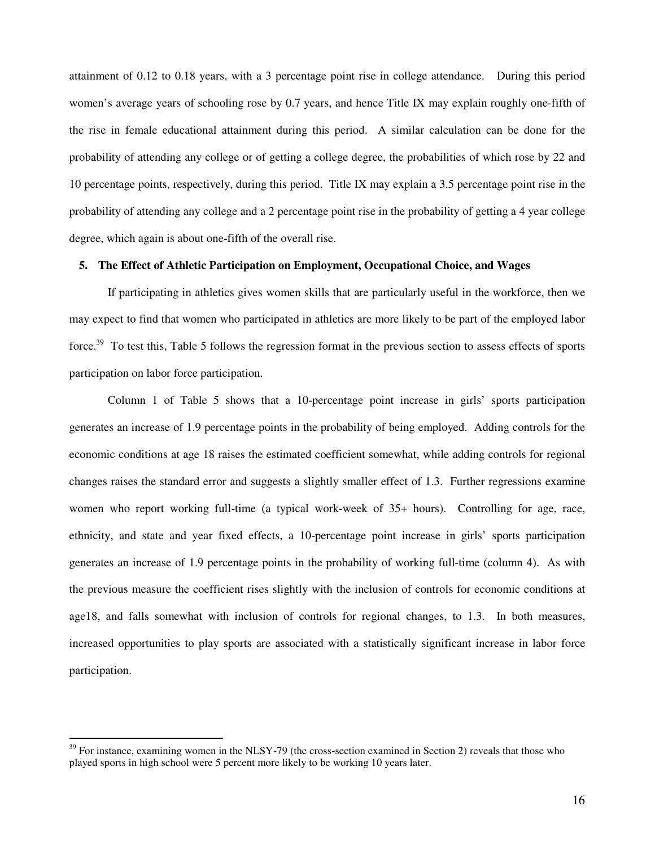attainment of 0.12 to 0.18 years, with a 3 percentage point rise in college attendance. During this period women's average years of schooling rose by 0.7 years, and hence Title IX may explain roughly one-fifth of the rise in female educational attainment during this period. A similar calculation can be done for the probability of attending any college or of getting a college degree, the probabilities of which rose by 22 and 10 percentage points, respectively, during this period. Title IX may explain a 3.5 percentage point rise in the probability of attending any college and a 2 percentage point rise in the probability of getting a 4 year college degree, which again is about one-fifth of the overall rise.

### **5. The Effect of Athletic Participation on Employment, Occupational Choice, and Wages**

If participating in athletics gives women skills that are particularly useful in the workforce, then we may expect to find that women who participated in athletics are more likely to be part of the employed labor force.<sup>39</sup> To test this, Table 5 follows the regression format in the previous section to assess effects of sports participation on labor force participation.

Column 1 of Table 5 shows that a 10-percentage point increase in girls' sports participation generates an increase of 1.9 percentage points in the probability of being employed. Adding controls for the economic conditions at age 18 raises the estimated coefficient somewhat, while adding controls for regional changes raises the standard error and suggests a slightly smaller effect of 1.3. Further regressions examine women who report working full-time (a typical work-week of 35+ hours). Controlling for age, race, ethnicity, and state and year fixed effects, a 10-percentage point increase in girls' sports participation generates an increase of 1.9 percentage points in the probability of working full-time (column 4). As with the previous measure the coefficient rises slightly with the inclusion of controls for economic conditions at age18, and falls somewhat with inclusion of controls for regional changes, to 1.3. In both measures, increased opportunities to play sports are associated with a statistically significant increase in labor force participation.

 $39$  For instance, examining women in the NLSY-79 (the cross-section examined in Section 2) reveals that those who played sports in high school were 5 percent more likely to be working 10 years later.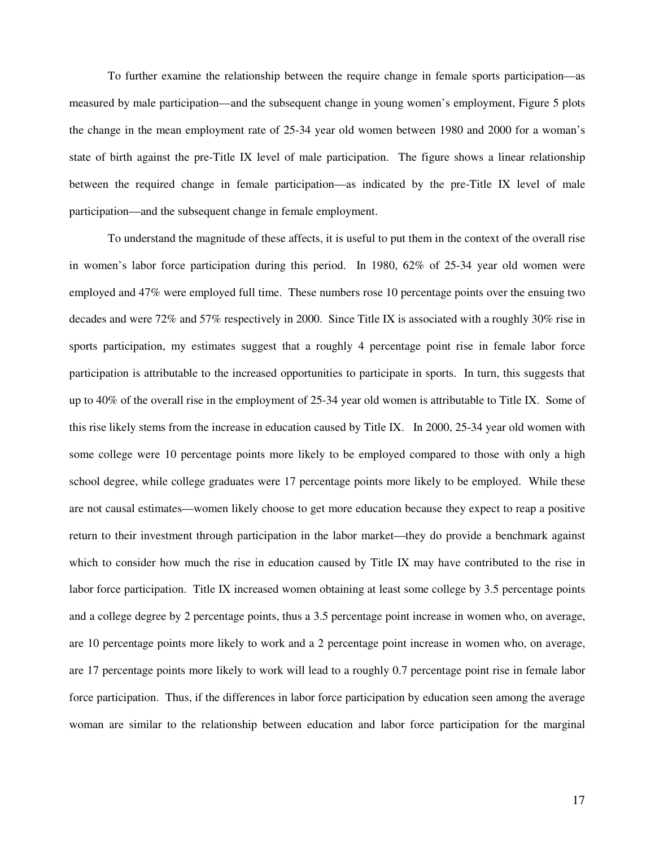To further examine the relationship between the require change in female sports participation—as measured by male participation—and the subsequent change in young women's employment, Figure 5 plots the change in the mean employment rate of 25-34 year old women between 1980 and 2000 for a woman's state of birth against the pre-Title IX level of male participation. The figure shows a linear relationship between the required change in female participation—as indicated by the pre-Title IX level of male participation—and the subsequent change in female employment.

To understand the magnitude of these affects, it is useful to put them in the context of the overall rise in women's labor force participation during this period. In 1980, 62% of 25-34 year old women were employed and 47% were employed full time. These numbers rose 10 percentage points over the ensuing two decades and were 72% and 57% respectively in 2000. Since Title IX is associated with a roughly 30% rise in sports participation, my estimates suggest that a roughly 4 percentage point rise in female labor force participation is attributable to the increased opportunities to participate in sports. In turn, this suggests that up to 40% of the overall rise in the employment of 25-34 year old women is attributable to Title IX. Some of this rise likely stems from the increase in education caused by Title IX. In 2000, 25-34 year old women with some college were 10 percentage points more likely to be employed compared to those with only a high school degree, while college graduates were 17 percentage points more likely to be employed. While these are not causal estimates—women likely choose to get more education because they expect to reap a positive return to their investment through participation in the labor market—they do provide a benchmark against which to consider how much the rise in education caused by Title IX may have contributed to the rise in labor force participation. Title IX increased women obtaining at least some college by 3.5 percentage points and a college degree by 2 percentage points, thus a 3.5 percentage point increase in women who, on average, are 10 percentage points more likely to work and a 2 percentage point increase in women who, on average, are 17 percentage points more likely to work will lead to a roughly 0.7 percentage point rise in female labor force participation. Thus, if the differences in labor force participation by education seen among the average woman are similar to the relationship between education and labor force participation for the marginal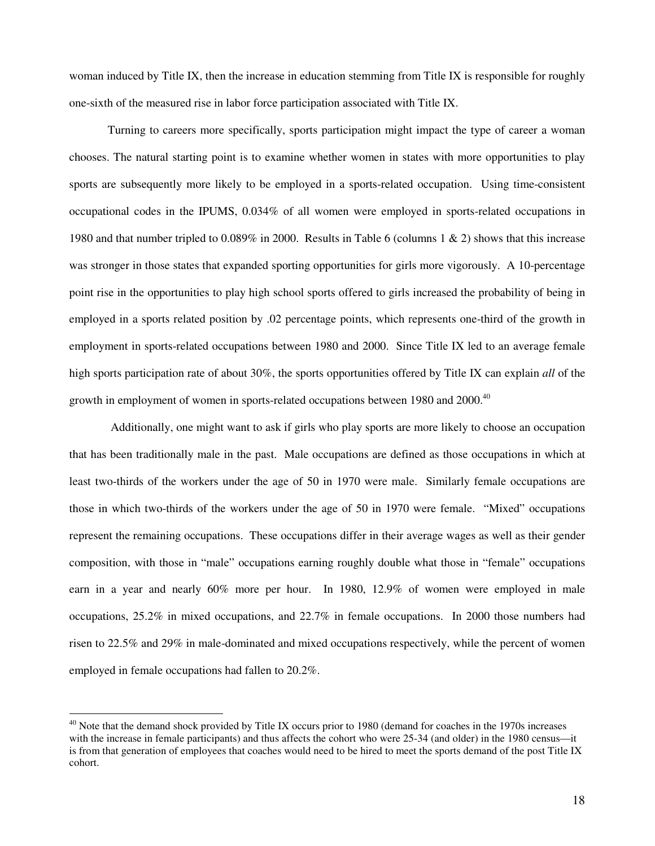woman induced by Title IX, then the increase in education stemming from Title IX is responsible for roughly one-sixth of the measured rise in labor force participation associated with Title IX.

Turning to careers more specifically, sports participation might impact the type of career a woman chooses. The natural starting point is to examine whether women in states with more opportunities to play sports are subsequently more likely to be employed in a sports-related occupation. Using time-consistent occupational codes in the IPUMS, 0.034% of all women were employed in sports-related occupations in 1980 and that number tripled to 0.089% in 2000. Results in Table 6 (columns 1 & 2) shows that this increase was stronger in those states that expanded sporting opportunities for girls more vigorously. A 10-percentage point rise in the opportunities to play high school sports offered to girls increased the probability of being in employed in a sports related position by .02 percentage points, which represents one-third of the growth in employment in sports-related occupations between 1980 and 2000. Since Title IX led to an average female high sports participation rate of about 30%, the sports opportunities offered by Title IX can explain *all* of the growth in employment of women in sports-related occupations between 1980 and 2000.<sup>40</sup>

 Additionally, one might want to ask if girls who play sports are more likely to choose an occupation that has been traditionally male in the past. Male occupations are defined as those occupations in which at least two-thirds of the workers under the age of 50 in 1970 were male. Similarly female occupations are those in which two-thirds of the workers under the age of 50 in 1970 were female. "Mixed" occupations represent the remaining occupations. These occupations differ in their average wages as well as their gender composition, with those in "male" occupations earning roughly double what those in "female" occupations earn in a year and nearly 60% more per hour. In 1980, 12.9% of women were employed in male occupations, 25.2% in mixed occupations, and 22.7% in female occupations. In 2000 those numbers had risen to 22.5% and 29% in male-dominated and mixed occupations respectively, while the percent of women employed in female occupations had fallen to 20.2%.

 $^{40}$  Note that the demand shock provided by Title IX occurs prior to 1980 (demand for coaches in the 1970s increases with the increase in female participants) and thus affects the cohort who were 25-34 (and older) in the 1980 census—it is from that generation of employees that coaches would need to be hired to meet the sports demand of the post Title IX cohort.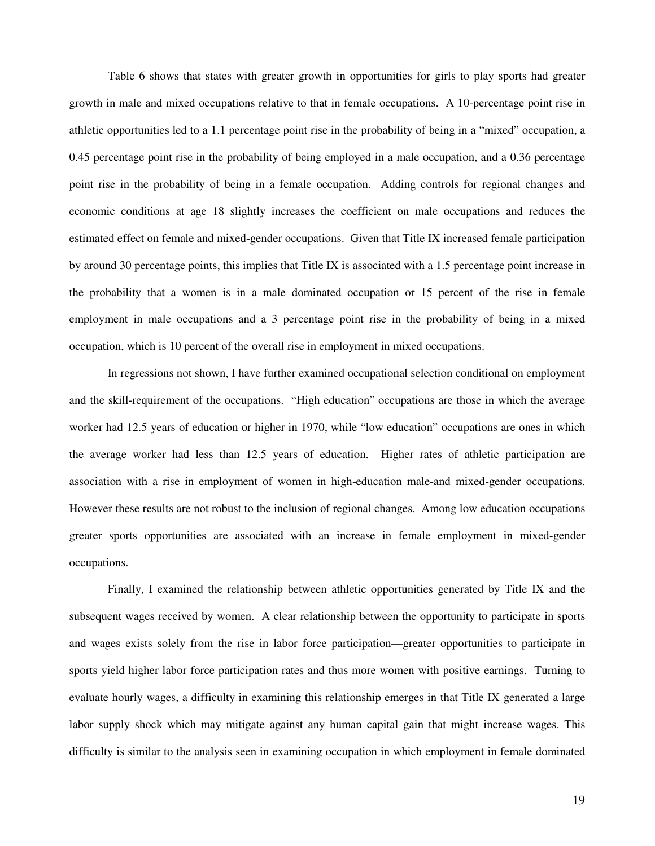Table 6 shows that states with greater growth in opportunities for girls to play sports had greater growth in male and mixed occupations relative to that in female occupations. A 10-percentage point rise in athletic opportunities led to a 1.1 percentage point rise in the probability of being in a "mixed" occupation, a 0.45 percentage point rise in the probability of being employed in a male occupation, and a 0.36 percentage point rise in the probability of being in a female occupation. Adding controls for regional changes and economic conditions at age 18 slightly increases the coefficient on male occupations and reduces the estimated effect on female and mixed-gender occupations. Given that Title IX increased female participation by around 30 percentage points, this implies that Title IX is associated with a 1.5 percentage point increase in the probability that a women is in a male dominated occupation or 15 percent of the rise in female employment in male occupations and a 3 percentage point rise in the probability of being in a mixed occupation, which is 10 percent of the overall rise in employment in mixed occupations.

In regressions not shown, I have further examined occupational selection conditional on employment and the skill-requirement of the occupations. "High education" occupations are those in which the average worker had 12.5 years of education or higher in 1970, while "low education" occupations are ones in which the average worker had less than 12.5 years of education. Higher rates of athletic participation are association with a rise in employment of women in high-education male-and mixed-gender occupations. However these results are not robust to the inclusion of regional changes. Among low education occupations greater sports opportunities are associated with an increase in female employment in mixed-gender occupations.

Finally, I examined the relationship between athletic opportunities generated by Title IX and the subsequent wages received by women. A clear relationship between the opportunity to participate in sports and wages exists solely from the rise in labor force participation—greater opportunities to participate in sports yield higher labor force participation rates and thus more women with positive earnings. Turning to evaluate hourly wages, a difficulty in examining this relationship emerges in that Title IX generated a large labor supply shock which may mitigate against any human capital gain that might increase wages. This difficulty is similar to the analysis seen in examining occupation in which employment in female dominated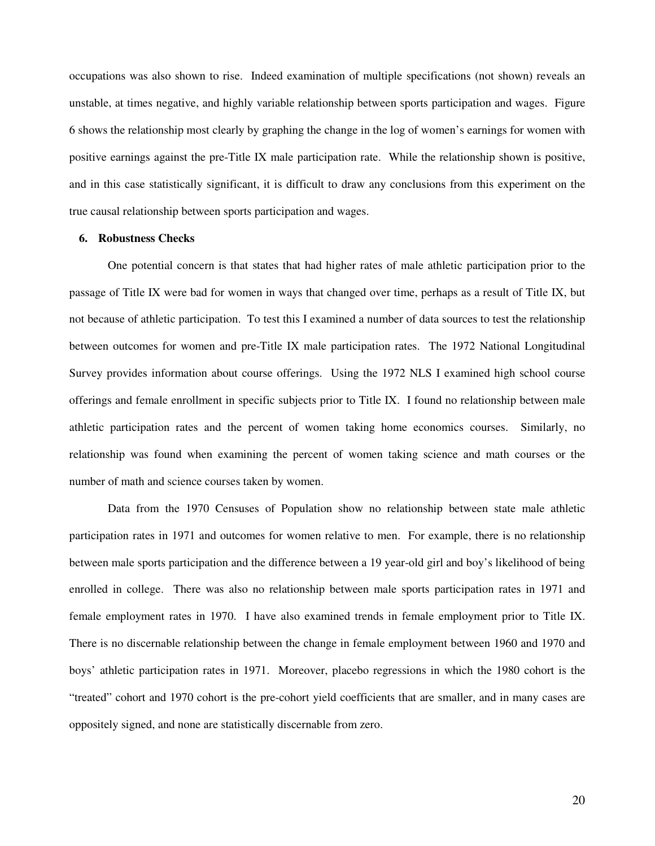occupations was also shown to rise. Indeed examination of multiple specifications (not shown) reveals an unstable, at times negative, and highly variable relationship between sports participation and wages. Figure 6 shows the relationship most clearly by graphing the change in the log of women's earnings for women with positive earnings against the pre-Title IX male participation rate. While the relationship shown is positive, and in this case statistically significant, it is difficult to draw any conclusions from this experiment on the true causal relationship between sports participation and wages.

### **6. Robustness Checks**

One potential concern is that states that had higher rates of male athletic participation prior to the passage of Title IX were bad for women in ways that changed over time, perhaps as a result of Title IX, but not because of athletic participation. To test this I examined a number of data sources to test the relationship between outcomes for women and pre-Title IX male participation rates. The 1972 National Longitudinal Survey provides information about course offerings. Using the 1972 NLS I examined high school course offerings and female enrollment in specific subjects prior to Title IX. I found no relationship between male athletic participation rates and the percent of women taking home economics courses. Similarly, no relationship was found when examining the percent of women taking science and math courses or the number of math and science courses taken by women.

Data from the 1970 Censuses of Population show no relationship between state male athletic participation rates in 1971 and outcomes for women relative to men. For example, there is no relationship between male sports participation and the difference between a 19 year-old girl and boy's likelihood of being enrolled in college. There was also no relationship between male sports participation rates in 1971 and female employment rates in 1970. I have also examined trends in female employment prior to Title IX. There is no discernable relationship between the change in female employment between 1960 and 1970 and boys' athletic participation rates in 1971. Moreover, placebo regressions in which the 1980 cohort is the "treated" cohort and 1970 cohort is the pre-cohort yield coefficients that are smaller, and in many cases are oppositely signed, and none are statistically discernable from zero.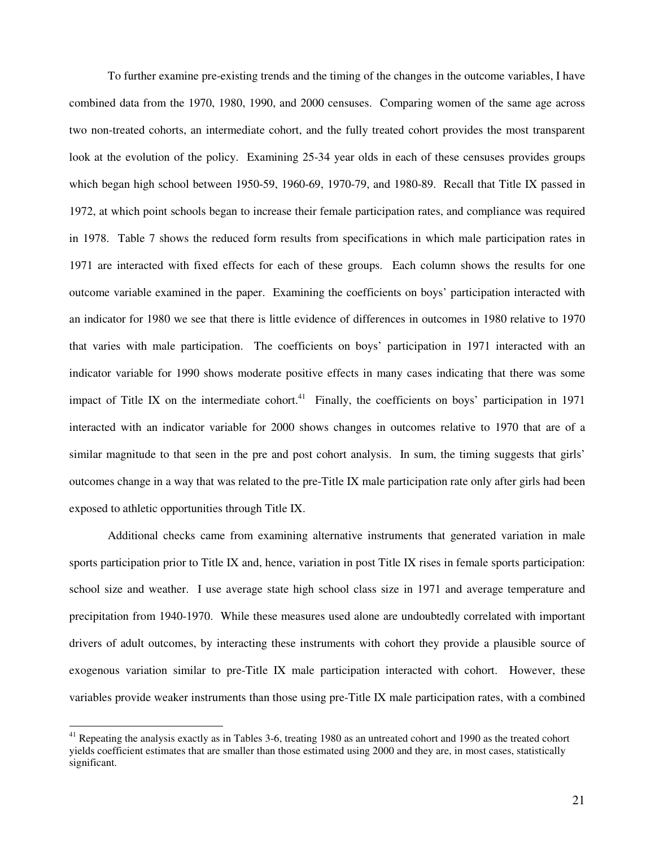To further examine pre-existing trends and the timing of the changes in the outcome variables, I have combined data from the 1970, 1980, 1990, and 2000 censuses. Comparing women of the same age across two non-treated cohorts, an intermediate cohort, and the fully treated cohort provides the most transparent look at the evolution of the policy. Examining 25-34 year olds in each of these censuses provides groups which began high school between 1950-59, 1960-69, 1970-79, and 1980-89. Recall that Title IX passed in 1972, at which point schools began to increase their female participation rates, and compliance was required in 1978. Table 7 shows the reduced form results from specifications in which male participation rates in 1971 are interacted with fixed effects for each of these groups. Each column shows the results for one outcome variable examined in the paper. Examining the coefficients on boys' participation interacted with an indicator for 1980 we see that there is little evidence of differences in outcomes in 1980 relative to 1970 that varies with male participation. The coefficients on boys' participation in 1971 interacted with an indicator variable for 1990 shows moderate positive effects in many cases indicating that there was some impact of Title IX on the intermediate cohort.<sup>41</sup> Finally, the coefficients on boys' participation in 1971 interacted with an indicator variable for 2000 shows changes in outcomes relative to 1970 that are of a similar magnitude to that seen in the pre and post cohort analysis. In sum, the timing suggests that girls' outcomes change in a way that was related to the pre-Title IX male participation rate only after girls had been exposed to athletic opportunities through Title IX.

Additional checks came from examining alternative instruments that generated variation in male sports participation prior to Title IX and, hence, variation in post Title IX rises in female sports participation: school size and weather. I use average state high school class size in 1971 and average temperature and precipitation from 1940-1970. While these measures used alone are undoubtedly correlated with important drivers of adult outcomes, by interacting these instruments with cohort they provide a plausible source of exogenous variation similar to pre-Title IX male participation interacted with cohort. However, these variables provide weaker instruments than those using pre-Title IX male participation rates, with a combined

 $41$  Repeating the analysis exactly as in Tables 3-6, treating 1980 as an untreated cohort and 1990 as the treated cohort yields coefficient estimates that are smaller than those estimated using 2000 and they are, in most cases, statistically significant.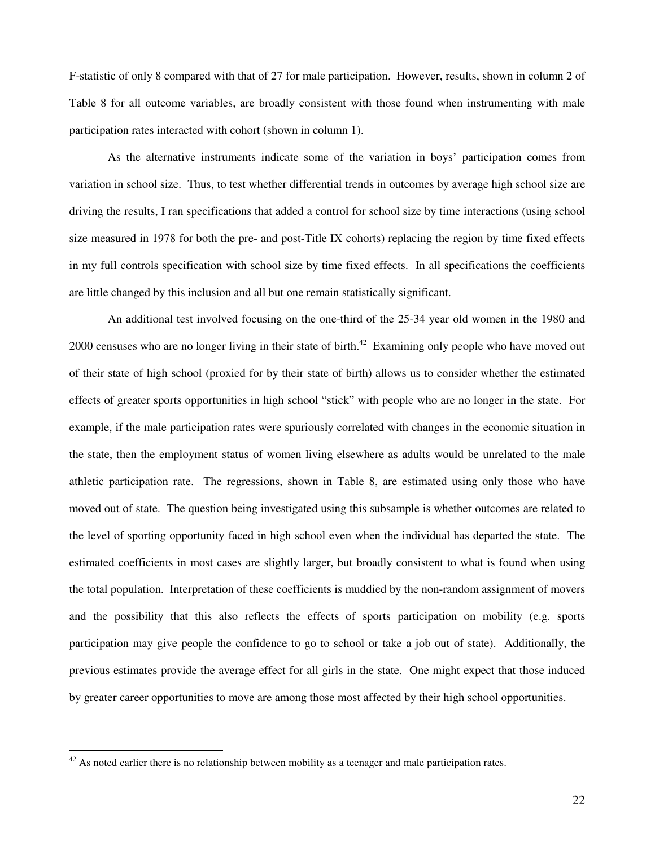F-statistic of only 8 compared with that of 27 for male participation. However, results, shown in column 2 of Table 8 for all outcome variables, are broadly consistent with those found when instrumenting with male participation rates interacted with cohort (shown in column 1).

As the alternative instruments indicate some of the variation in boys' participation comes from variation in school size. Thus, to test whether differential trends in outcomes by average high school size are driving the results, I ran specifications that added a control for school size by time interactions (using school size measured in 1978 for both the pre- and post-Title IX cohorts) replacing the region by time fixed effects in my full controls specification with school size by time fixed effects. In all specifications the coefficients are little changed by this inclusion and all but one remain statistically significant.

An additional test involved focusing on the one-third of the 25-34 year old women in the 1980 and 2000 censuses who are no longer living in their state of birth.<sup>42</sup> Examining only people who have moved out of their state of high school (proxied for by their state of birth) allows us to consider whether the estimated effects of greater sports opportunities in high school "stick" with people who are no longer in the state. For example, if the male participation rates were spuriously correlated with changes in the economic situation in the state, then the employment status of women living elsewhere as adults would be unrelated to the male athletic participation rate. The regressions, shown in Table 8, are estimated using only those who have moved out of state. The question being investigated using this subsample is whether outcomes are related to the level of sporting opportunity faced in high school even when the individual has departed the state. The estimated coefficients in most cases are slightly larger, but broadly consistent to what is found when using the total population. Interpretation of these coefficients is muddied by the non-random assignment of movers and the possibility that this also reflects the effects of sports participation on mobility (e.g. sports participation may give people the confidence to go to school or take a job out of state). Additionally, the previous estimates provide the average effect for all girls in the state. One might expect that those induced by greater career opportunities to move are among those most affected by their high school opportunities.

 $42$  As noted earlier there is no relationship between mobility as a teenager and male participation rates.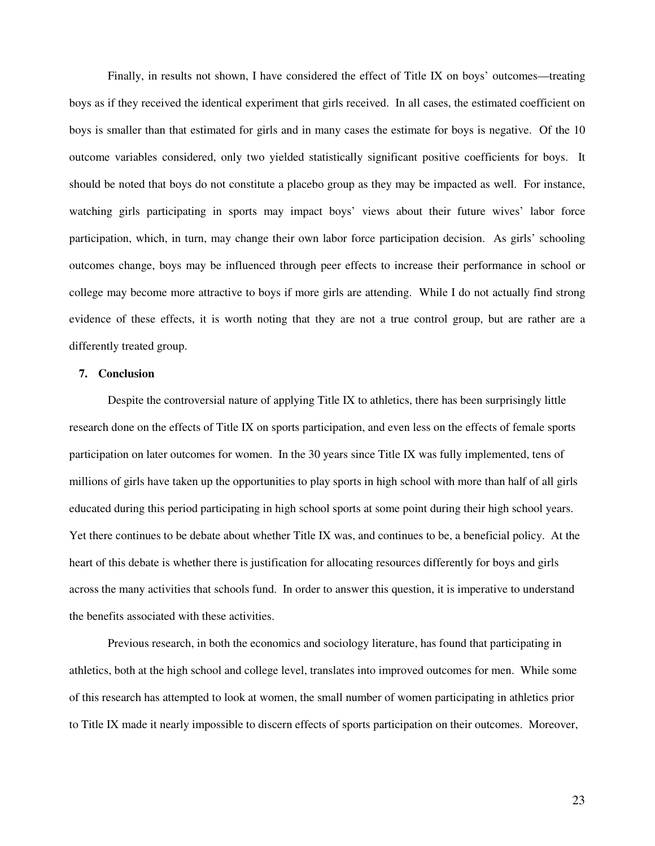Finally, in results not shown, I have considered the effect of Title IX on boys' outcomes—treating boys as if they received the identical experiment that girls received. In all cases, the estimated coefficient on boys is smaller than that estimated for girls and in many cases the estimate for boys is negative. Of the 10 outcome variables considered, only two yielded statistically significant positive coefficients for boys. It should be noted that boys do not constitute a placebo group as they may be impacted as well. For instance, watching girls participating in sports may impact boys' views about their future wives' labor force participation, which, in turn, may change their own labor force participation decision. As girls' schooling outcomes change, boys may be influenced through peer effects to increase their performance in school or college may become more attractive to boys if more girls are attending. While I do not actually find strong evidence of these effects, it is worth noting that they are not a true control group, but are rather are a differently treated group.

## **7. Conclusion**

Despite the controversial nature of applying Title IX to athletics, there has been surprisingly little research done on the effects of Title IX on sports participation, and even less on the effects of female sports participation on later outcomes for women. In the 30 years since Title IX was fully implemented, tens of millions of girls have taken up the opportunities to play sports in high school with more than half of all girls educated during this period participating in high school sports at some point during their high school years. Yet there continues to be debate about whether Title IX was, and continues to be, a beneficial policy. At the heart of this debate is whether there is justification for allocating resources differently for boys and girls across the many activities that schools fund. In order to answer this question, it is imperative to understand the benefits associated with these activities.

Previous research, in both the economics and sociology literature, has found that participating in athletics, both at the high school and college level, translates into improved outcomes for men. While some of this research has attempted to look at women, the small number of women participating in athletics prior to Title IX made it nearly impossible to discern effects of sports participation on their outcomes. Moreover,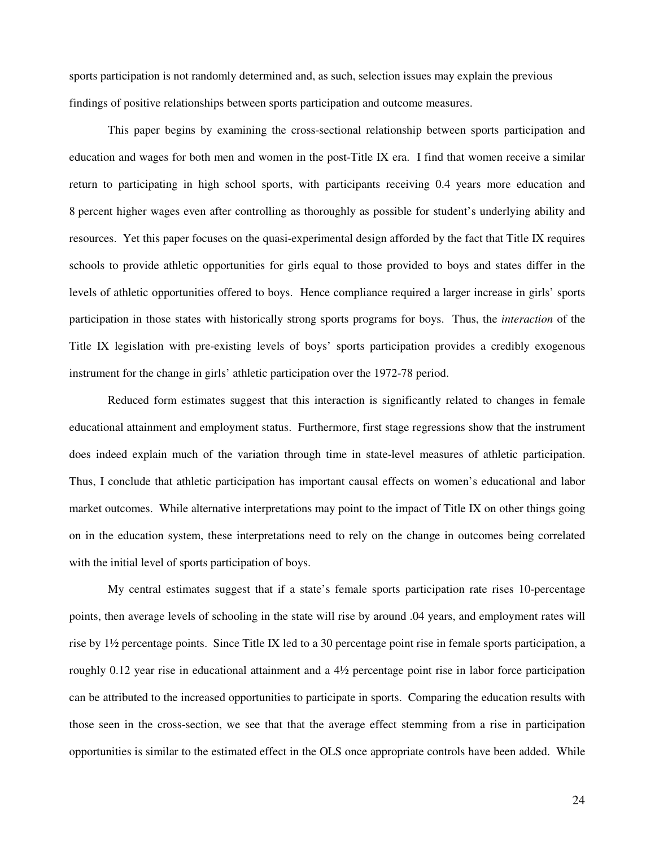sports participation is not randomly determined and, as such, selection issues may explain the previous findings of positive relationships between sports participation and outcome measures.

This paper begins by examining the cross-sectional relationship between sports participation and education and wages for both men and women in the post-Title IX era. I find that women receive a similar return to participating in high school sports, with participants receiving 0.4 years more education and 8 percent higher wages even after controlling as thoroughly as possible for student's underlying ability and resources. Yet this paper focuses on the quasi-experimental design afforded by the fact that Title IX requires schools to provide athletic opportunities for girls equal to those provided to boys and states differ in the levels of athletic opportunities offered to boys. Hence compliance required a larger increase in girls' sports participation in those states with historically strong sports programs for boys. Thus, the *interaction* of the Title IX legislation with pre-existing levels of boys' sports participation provides a credibly exogenous instrument for the change in girls' athletic participation over the 1972-78 period.

Reduced form estimates suggest that this interaction is significantly related to changes in female educational attainment and employment status. Furthermore, first stage regressions show that the instrument does indeed explain much of the variation through time in state-level measures of athletic participation. Thus, I conclude that athletic participation has important causal effects on women's educational and labor market outcomes. While alternative interpretations may point to the impact of Title IX on other things going on in the education system, these interpretations need to rely on the change in outcomes being correlated with the initial level of sports participation of boys.

My central estimates suggest that if a state's female sports participation rate rises 10-percentage points, then average levels of schooling in the state will rise by around .04 years, and employment rates will rise by 1½ percentage points. Since Title IX led to a 30 percentage point rise in female sports participation, a roughly 0.12 year rise in educational attainment and a 4½ percentage point rise in labor force participation can be attributed to the increased opportunities to participate in sports. Comparing the education results with those seen in the cross-section, we see that that the average effect stemming from a rise in participation opportunities is similar to the estimated effect in the OLS once appropriate controls have been added. While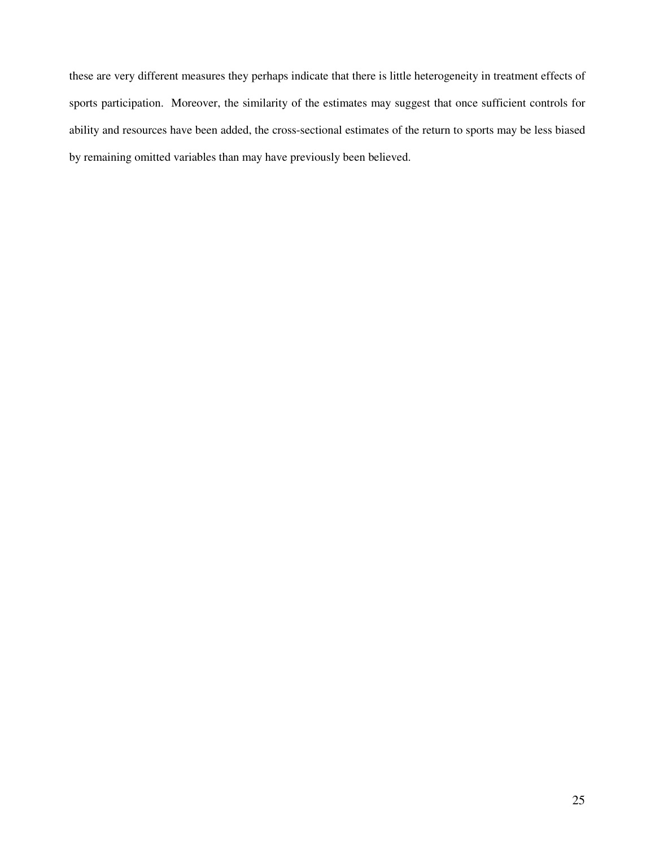these are very different measures they perhaps indicate that there is little heterogeneity in treatment effects of sports participation. Moreover, the similarity of the estimates may suggest that once sufficient controls for ability and resources have been added, the cross-sectional estimates of the return to sports may be less biased by remaining omitted variables than may have previously been believed.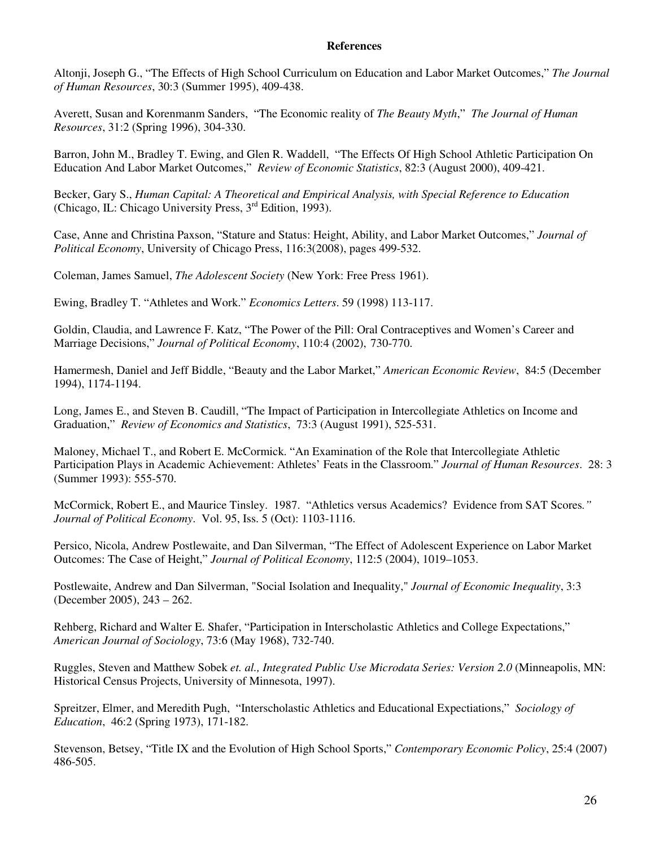## **References**

Altonji, Joseph G., "The Effects of High School Curriculum on Education and Labor Market Outcomes," *The Journal of Human Resources*, 30:3 (Summer 1995), 409-438.

Averett, Susan and Korenmanm Sanders, "The Economic reality of *The Beauty Myth*," *The Journal of Human Resources*, 31:2 (Spring 1996), 304-330.

Barron, John M., Bradley T. Ewing, and Glen R. Waddell, "The Effects Of High School Athletic Participation On Education And Labor Market Outcomes," *Review of Economic Statistics*, 82:3 (August 2000), 409-421.

Becker, Gary S., *Human Capital: A Theoretical and Empirical Analysis, with Special Reference to Education* (Chicago, IL: Chicago University Press, 3rd Edition, 1993).

Case, Anne and Christina Paxson, "Stature and Status: Height, Ability, and Labor Market Outcomes," *Journal of Political Economy*, University of Chicago Press, 116:3(2008), pages 499-532.

Coleman, James Samuel, *The Adolescent Society* (New York: Free Press 1961).

Ewing, Bradley T. "Athletes and Work." *Economics Letters*. 59 (1998) 113-117.

Goldin, Claudia, and Lawrence F. Katz, "The Power of the Pill: Oral Contraceptives and Women's Career and Marriage Decisions," *Journal of Political Economy*, 110:4 (2002), 730-770.

Hamermesh, Daniel and Jeff Biddle, "Beauty and the Labor Market," *American Economic Review*, 84:5 (December 1994), 1174-1194.

Long, James E., and Steven B. Caudill, "The Impact of Participation in Intercollegiate Athletics on Income and Graduation," *Review of Economics and Statistics*, 73:3 (August 1991), 525-531.

Maloney, Michael T., and Robert E. McCormick. "An Examination of the Role that Intercollegiate Athletic Participation Plays in Academic Achievement: Athletes' Feats in the Classroom." *Journal of Human Resources*. 28: 3 (Summer 1993): 555-570.

McCormick, Robert E., and Maurice Tinsley. 1987. "Athletics versus Academics? Evidence from SAT Scores*." Journal of Political Economy*. Vol. 95, Iss. 5 (Oct): 1103-1116.

Persico, Nicola, Andrew Postlewaite, and Dan Silverman, "The Effect of Adolescent Experience on Labor Market Outcomes: The Case of Height," *Journal of Political Economy*, 112:5 (2004), 1019–1053.

Postlewaite, Andrew and Dan Silverman, "Social Isolation and Inequality," *Journal of Economic Inequality*, 3:3 (December 2005), 243 – 262.

Rehberg, Richard and Walter E. Shafer, "Participation in Interscholastic Athletics and College Expectations," *American Journal of Sociology*, 73:6 (May 1968), 732-740.

Ruggles, Steven and Matthew Sobek *et. al., Integrated Public Use Microdata Series: Version 2.0* (Minneapolis, MN: Historical Census Projects, University of Minnesota, 1997).

Spreitzer, Elmer, and Meredith Pugh, "Interscholastic Athletics and Educational Expectiations," *Sociology of Education*, 46:2 (Spring 1973), 171-182.

Stevenson, Betsey, "Title IX and the Evolution of High School Sports," *Contemporary Economic Policy*, 25:4 (2007) 486-505.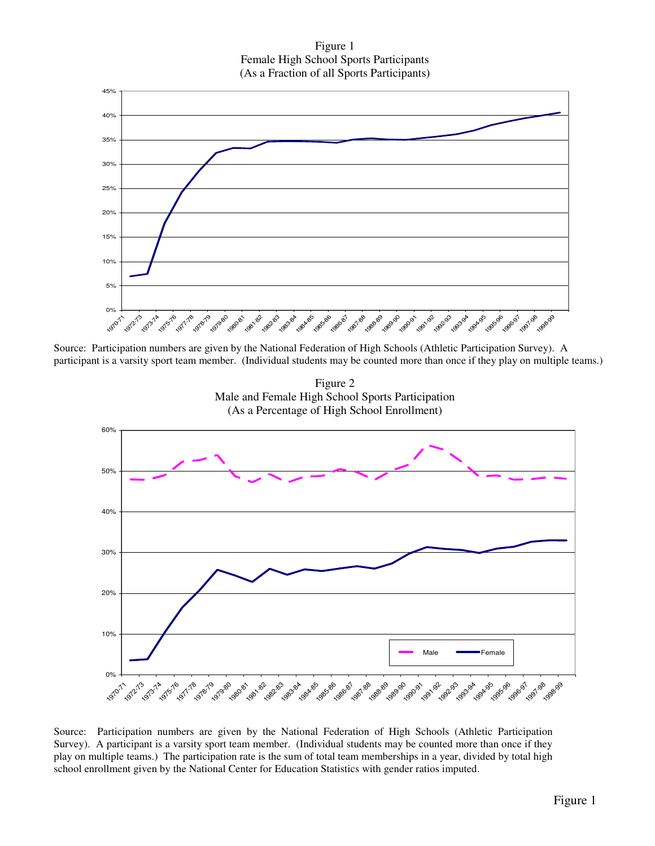Figure 1 Female High School Sports Participants (As a Fraction of all Sports Participants)



Source: Participation numbers are given by the National Federation of High Schools (Athletic Participation Survey). A participant is a varsity sport team member. (Individual students may be counted more than once if they play on multiple teams.)



1970-71 1976 1987.88 1988-89

Source: Participation numbers are given by the National Federation of High Schools (Athletic Participation Survey). A participant is a varsity sport team member. (Individual students may be counted more than once if they play on multiple teams.) The participation rate is the sum of total team memberships in a year, divided by total high school enrollment given by the National Center for Education Statistics with gender ratios imputed.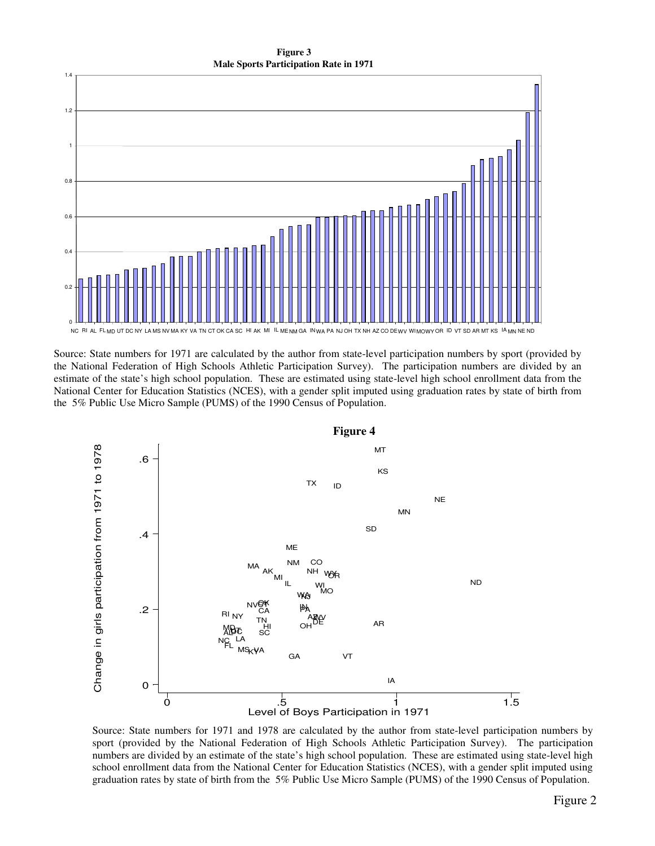**Figure 3 Male Sports Participation Rate in 1971**



Source: State numbers for 1971 are calculated by the author from state-level participation numbers by sport (provided by the National Federation of High Schools Athletic Participation Survey). The participation numbers are divided by an estimate of the state's high school population. These are estimated using state-level high school enrollment data from the National Center for Education Statistics (NCES), with a gender split imputed using graduation rates by state of birth from the 5% Public Use Micro Sample (PUMS) of the 1990 Census of Population.



Source: State numbers for 1971 and 1978 are calculated by the author from state-level participation numbers by sport (provided by the National Federation of High Schools Athletic Participation Survey). The participation numbers are divided by an estimate of the state's high school population. These are estimated using state-level high school enrollment data from the National Center for Education Statistics (NCES), with a gender split imputed using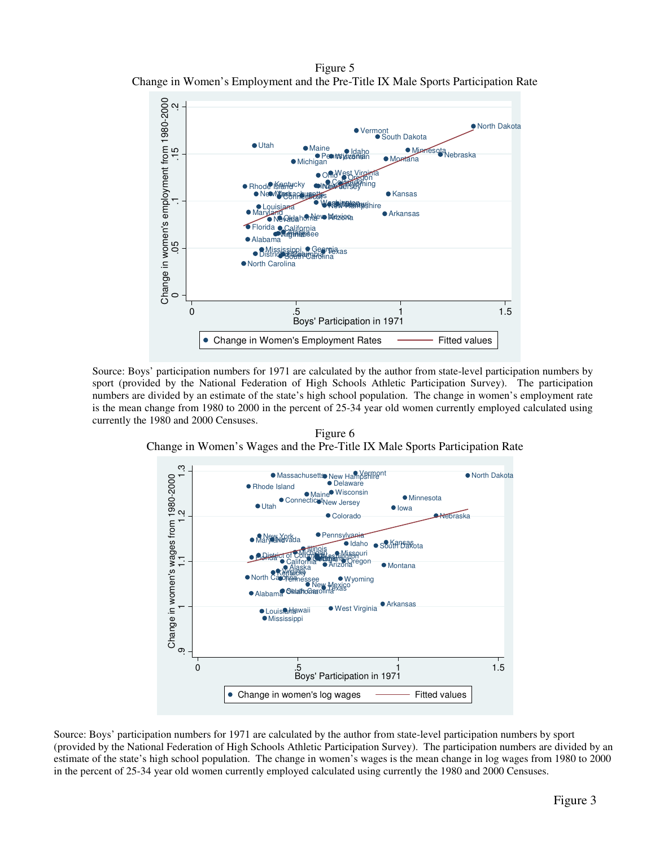Figure 5 Change in Women's Employment and the Pre-Title IX Male Sports Participation Rate



Source: Boys' participation numbers for 1971 are calculated by the author from state-level participation numbers by sport (provided by the National Federation of High Schools Athletic Participation Survey). The participation numbers are divided by an estimate of the state's high school population. The change in women's employment rate is the mean change from 1980 to 2000 in the percent of 25-34 year old women currently employed calculated using currently the 1980 and 2000 Censuses.

Figure 6 Change in Women's Wages and the Pre-Title IX Male Sports Participation Rate



Source: Boys' participation numbers for 1971 are calculated by the author from state-level participation numbers by sport (provided by the National Federation of High Schools Athletic Participation Survey). The participation numbers are divided by an estimate of the state's high school population. The change in women's wages is the mean change in log wages from 1980 to 2000 in the percent of 25-34 year old women currently employed calculated using currently the 1980 and 2000 Censuses.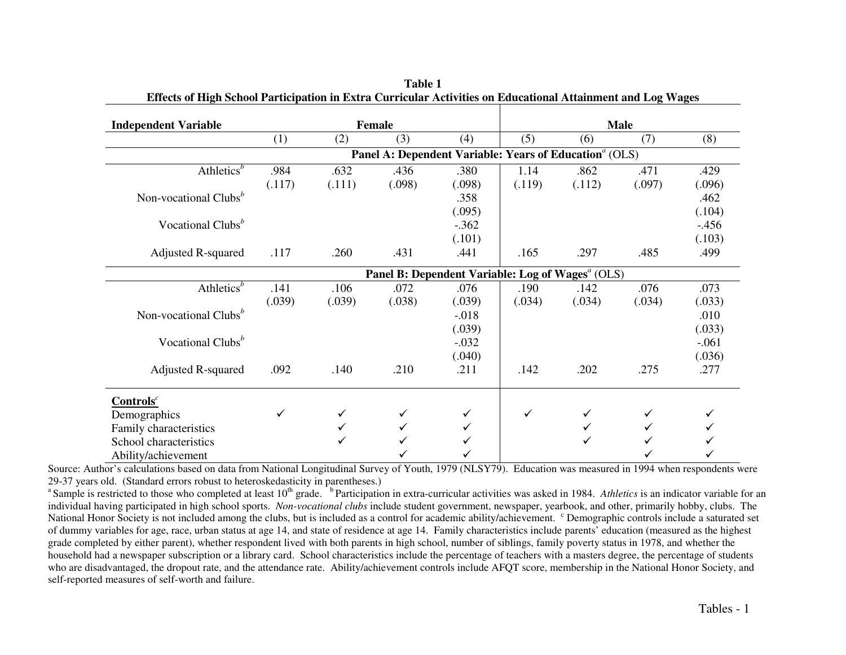| <b>Independent Variable</b>         |        |        | Female                                                             |          |        |        | <b>Male</b> |         |
|-------------------------------------|--------|--------|--------------------------------------------------------------------|----------|--------|--------|-------------|---------|
|                                     | (1)    | (2)    | (3)                                                                | (4)      | (5)    | (6)    | (7)         | (8)     |
|                                     |        |        | Panel A: Dependent Variable: Years of Education <sup>a</sup> (OLS) |          |        |        |             |         |
| Athletics <sup>b</sup>              | .984   | .632   | .436                                                               | .380     | 1.14   | .862   | .471        | .429    |
|                                     | (.117) | (.111) | (.098)                                                             | (.098)   | (.119) | (.112) | (.097)      | (.096)  |
| Non-vocational Clubs <sup>b</sup>   |        |        |                                                                    | .358     |        |        |             | .462    |
|                                     |        |        |                                                                    | (.095)   |        |        |             | (.104)  |
| Vocational Clubs <sup>b</sup>       |        |        |                                                                    | $-.362$  |        |        |             | $-.456$ |
|                                     |        |        |                                                                    | (.101)   |        |        |             | (.103)  |
| <b>Adjusted R-squared</b>           | .117   | .260   | .431                                                               | .441     | .165   | .297   | .485        | .499    |
|                                     |        |        | Panel B: Dependent Variable: Log of Wages <sup>a</sup> (OLS)       |          |        |        |             |         |
| Athletics <sup><math>b</math></sup> | .141   | .106   | .072                                                               | .076     | .190   | .142   | .076        | .073    |
|                                     | (.039) | (.039) | (.038)                                                             | (.039)   | (.034) | (.034) | (.034)      | (.033)  |
| Non-vocational Clubs <sup>b</sup>   |        |        |                                                                    | $-0.018$ |        |        |             | .010    |
|                                     |        |        |                                                                    | (.039)   |        |        |             | (.033)  |
| Vocational Clubs <sup>b</sup>       |        |        |                                                                    | $-.032$  |        |        |             | $-.061$ |
|                                     |        |        |                                                                    | (.040)   |        |        |             | (.036)  |
| Adjusted R-squared                  | .092   | .140   | .210                                                               | .211     | .142   | .202   | .275        | .277    |
| $Contentsc$                         |        |        |                                                                    |          |        |        |             |         |
| Demographics                        | ✓      |        |                                                                    | ✓        | ✓      |        |             |         |
| Family characteristics              |        |        |                                                                    |          |        |        |             |         |
| School characteristics              |        |        |                                                                    |          |        |        |             |         |
| Ability/achievement                 |        |        |                                                                    |          |        |        |             |         |

**Table 1 Effects of High School Participation in Extra Curricular Activities on Educational Attainment and Log Wages** 

Ability/achievement<br>Source: Author's calculations based on data from National Longitudinal Survey of Youth, 1979 (NLSY79). Education was measured in 1994 when respondents were 29-37 years old. (Standard errors robust to heteroskedasticity in parentheses.)

<sup>a</sup> Sample is restricted to those who completed at least 10<sup>th</sup> grade. <sup>b</sup>Participation in extra-curricular activities was asked in 1984. *Athletics* is an indicator variable for an individual having participated in high school sports. *Non-vocational clubs* include student government, newspaper, yearbook, and other, primarily hobby, clubs. The National Honor Society is not included among the clubs, but is included as a control for academic ability/achievement. <sup>c</sup> Demographic controls include a saturated set of dummy variables for age, race, urban status at age 14, and state of residence at age 14. Family characteristics include parents' education (measured as the highest grade completed by either parent), whether respondent lived with both parents in high school, number of siblings, family poverty status in 1978, and whether the household had a newspaper subscription or a library card. School characteristics include the percentage of teachers with a masters degree, the percentage of students who are disadvantaged, the dropout rate, and the attendance rate. Ability/achievement controls include AFQT score, membership in the National Honor Society, and self-reported measures of self-worth and failure.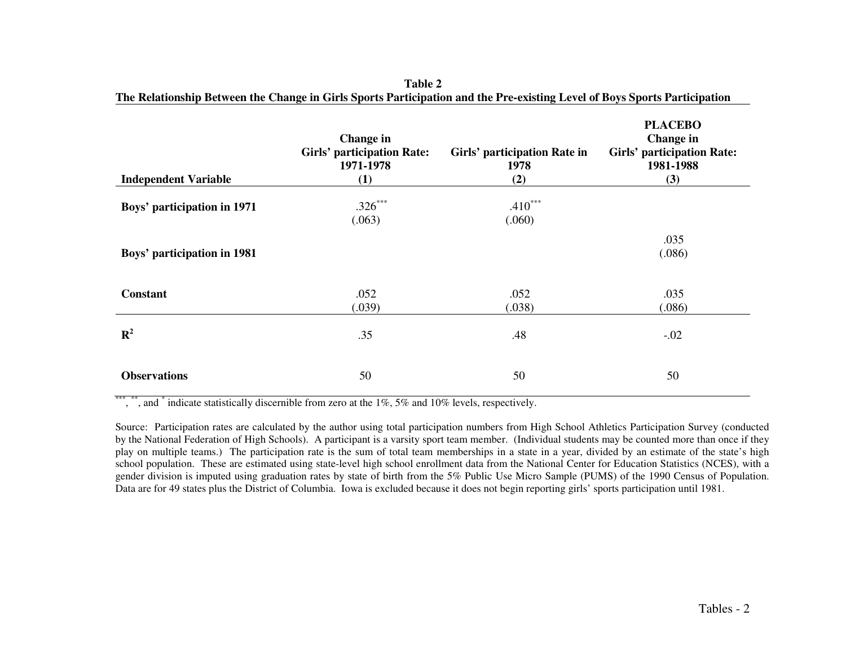| <b>Independent Variable</b> | Change in<br><b>Girls' participation Rate:</b><br>1971-1978<br>(1) | Girls' participation Rate in<br>1978<br>(2) | <b>PLACEBO</b><br>Change in<br><b>Girls' participation Rate:</b><br>1981-1988<br>(3) |
|-----------------------------|--------------------------------------------------------------------|---------------------------------------------|--------------------------------------------------------------------------------------|
| Boys' participation in 1971 | $.326***$<br>(.063)                                                | $.410***$<br>(.060)                         |                                                                                      |
| Boys' participation in 1981 |                                                                    |                                             | .035<br>(.086)                                                                       |
| <b>Constant</b>             | .052<br>(.039)                                                     | .052<br>(.038)                              | .035<br>(.086)                                                                       |
| ${\bf R}^2$                 | .35                                                                | .48                                         | $-.02$                                                                               |
| <b>Observations</b>         | 50                                                                 | 50                                          | 50                                                                                   |

|                                                                                                                           | Table 2 |  |  |
|---------------------------------------------------------------------------------------------------------------------------|---------|--|--|
| The Relationship Between the Change in Girls Sports Participation and the Pre-existing Level of Boys Sports Participation |         |  |  |

\*\*\*, \*\*, and  $*$  indicate statistically discernible from zero at the 1%, 5% and 10% levels, respectively.

Source: Participation rates are calculated by the author using total participation numbers from High School Athletics Participation Survey (conducted by the National Federation of High Schools). A participant is a varsity sport team member. (Individual students may be counted more than once if they play on multiple teams.) The participation rate is the sum of total team memberships in a state in a year, divided by an estimate of the state's high school population. These are estimated using state-level high school enrollment data from the National Center for Education Statistics (NCES), with a gender division is imputed using graduation rates by state of birth from the 5% Public Use Micro Sample (PUMS) of the 1990 Census of Population. Data are for 49 states plus the District of Columbia. Iowa is excluded because it does not begin reporting girls' sports participation until 1981.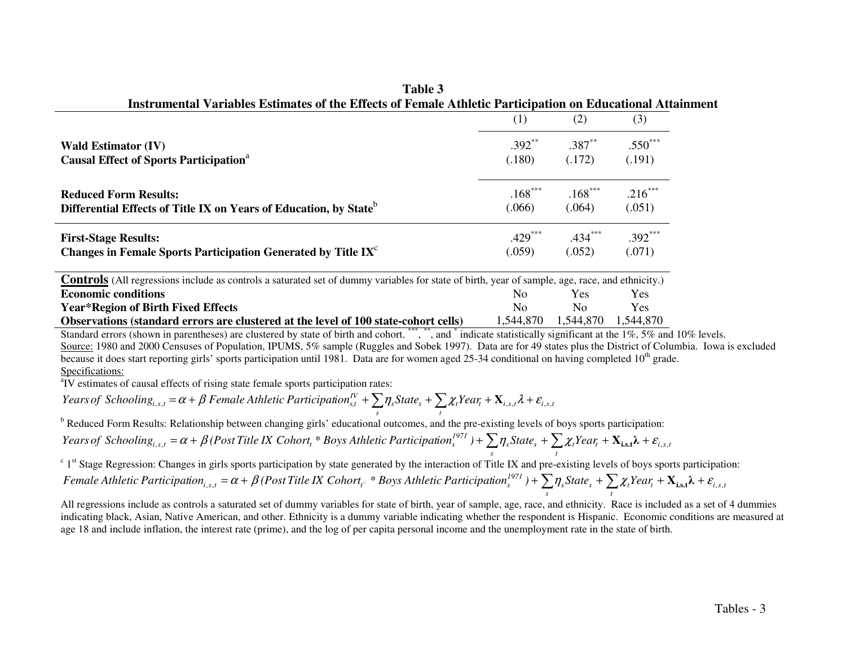|                                                                                                                                                        | (1)            | (2)       | (3)        |
|--------------------------------------------------------------------------------------------------------------------------------------------------------|----------------|-----------|------------|
| <b>Wald Estimator (IV)</b>                                                                                                                             | $.392**$       | $.387**$  | $.550***$  |
| <b>Causal Effect of Sports Participation</b> <sup>a</sup>                                                                                              | (.180)         | (.172)    | (.191)     |
| <b>Reduced Form Results:</b>                                                                                                                           | $.168***$      | $.168***$ | $.216***$  |
| Differential Effects of Title IX on Years of Education, by State <sup>b</sup>                                                                          | (.066)         | (.064)    | (.051)     |
| <b>First-Stage Results:</b>                                                                                                                            | $.429***$      | $.434***$ | $.392***$  |
| Changes in Female Sports Participation Generated by Title IX <sup>c</sup>                                                                              | (.059)         | (.052)    | (.071)     |
| <b>Controls</b> (All regressions include as controls a saturated set of dummy variables for state of birth, year of sample, age, race, and ethnicity.) |                |           |            |
| <b>Economic conditions</b>                                                                                                                             | N <sub>0</sub> | Yes.      | <b>Yes</b> |
| Year*Region of Birth Fixed Effects                                                                                                                     | No.            | No.       | Yes        |

**Table 3 Instrumental Variables Estimates of the Effects of Female Athletic Participation on Educational Attainment** 

**Year\*Region of Birth Fixed Effects** No No Yes **Observations (standard errors are clustered at the level of 100 state-cohort cells)** 1,544,870 1,544,870 1,544,870 Standard errors (shown in parentheses) are clustered by state of birth and cohort. \*\*\*, \*\*, and \* indicate statistically significant at the 1%, 5% and 10% levels.

Source: 1980 and 2000 Censuses of Population, IPUMS, 5% sample (Ruggles and Sobek 1997). Data are for 49 states plus the District of Columbia. Iowa is excluded because it does start reporting girls' sports participation until 1981. Data are for women aged 25-34 conditional on having completed  $10<sup>th</sup>$  grade. Specifications:

<sup>a</sup>IV estimates of causal effects of rising state female sports participation rates:

 $\sum_{s} \mathcal{L}_t f(t) = \sum_{i,s,t} \mathcal{L}_t f(t) + \sum_{i,s,t} \mathcal{L}_t f(t) + \mathcal{L}_{i,s,t}$ *I Pears of Schooling<sub>i,s,t</sub>* = α + β Female Athletic Participation ${}_{s,t}^{IV}$  +  $\sum$   $\eta_s$ State $_s$  +  $\sum$   $\chi_t$ Year $_t$  +  $\mathbf{X}_{i,s,t}$  $\lambda$  +  $\varepsilon_{i,s,t}$ 

<sup>b</sup> Reduced Form Results: Relationship between changing girls' educational outcomes, and the pre-existing levels of boys sports participation:

 $\sum_{s} \mathcal{H}_s$ <sup>*p*</sup>  $\sum_{t} \mathcal{L}_t t^{\text{new}} t^{\text{new}} t^{\text{new}} t^{\text{new}}$ *s* Years of Schooling $_{i,s,t} = \alpha + \beta$  (Post Title IX Cohort, \* Boys Athletic Participation $_s^{1971}$  ) +  $\sum\eta_s\text{State}_s + \sum\chi_t\text{Year}_t + \mathbf{X_{i,s,t}}\lambda + \varepsilon_{i,s,t}$ 

 $c<sup>c</sup> 1<sup>st</sup>$  Stage Regression: Changes in girls sports participation by state generated by the interaction of Title IX and pre-existing levels of boys sports participation:  $\frac{1}{s}$   $\frac{1}{s}$   $\frac{1}{s}$   $\frac{1}{t}$   $\frac{1}{s}$   $\frac{1}{t}$   $\frac{1}{s}$   $\frac{1}{s}$   $\frac{1}{s}$   $\frac{1}{s}$ *s* Female Athletic Participation $_{i,s,t} = \alpha + \beta$  (Post Title IX Cohort $_t$  \* Boys Athletic Participation $_s^{1971}$  ) +  $\sum \eta_s$ State $_s$  +  $\sum \chi_t Year_t$  +  $\mathbf{X_{i,s,t}}$  +  $\mathcal{E}_{i,s,t}$ 

 All regressions include as controls a saturated set of dummy variables for state of birth, year of sample, age, race, and ethnicity. Race is included as a set of 4 dummies indicating black, Asian, Native American, and other. Ethnicity is a dummy variable indicating whether the respondent is Hispanic. Economic conditions are measured at age 18 and include inflation, the interest rate (prime), and the log of per capita personal income and the unemployment rate in the state of birth.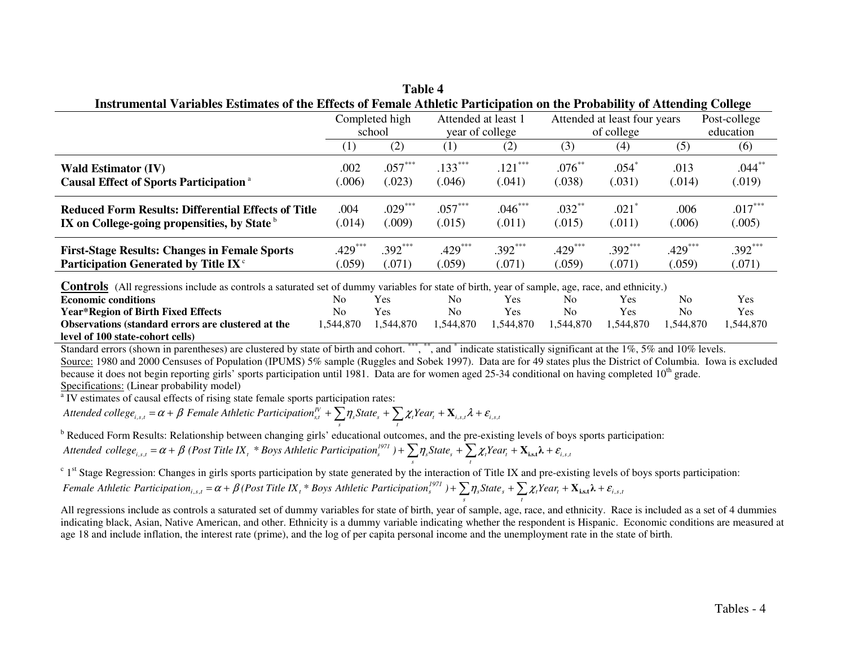| THISTUMENTAL VALIADIES ESUMATES OF THE ELICCIS OF FEMALE ATMETIC PARTICIDATION ON THE PRODADITIV OF ATTENDING CONCRE |                  |           |                     |           |                              |                     |           |              |  |
|----------------------------------------------------------------------------------------------------------------------|------------------|-----------|---------------------|-----------|------------------------------|---------------------|-----------|--------------|--|
|                                                                                                                      | Completed high   |           | Attended at least 1 |           | Attended at least four years |                     |           | Post-college |  |
|                                                                                                                      | school           |           | year of college     |           | of college                   |                     |           | education    |  |
|                                                                                                                      | $\left(1\right)$ | (2)       | (1)                 | (2)       | (3)                          | $\left( 4\right)$   | (5)       | (6)          |  |
| <b>Wald Estimator (IV)</b>                                                                                           | .002             | $.057***$ | $.133***$           | $.121***$ | $.076***$                    | .054°               | .013      | $.044***$    |  |
| <b>Causal Effect of Sports Participation</b> <sup>a</sup>                                                            | (.006)           | (.023)    | (.046)              | (.041)    | (.038)                       | (.031)              | (.014)    | (.019)       |  |
| Reduced Form Results: Differential Effects of Title                                                                  | .004             | $.029***$ | $.057***$           | $.046***$ | $.032***$                    | $.021$ <sup>*</sup> | .006      | $.017***$    |  |
| IX on College-going propensities, by State b                                                                         | (.014)           | (.009)    | (.015)              | (.011)    | (.015)                       | (.011)              | (.006)    | (.005)       |  |
| <b>First-Stage Results: Changes in Female Sports</b>                                                                 | $.429***$        | $.392***$ | $.429***$           | $.392***$ | $.429***$                    | $.392***$           | $.429***$ | $.392***$    |  |
| Participation Generated by Title IX <sup>c</sup>                                                                     | (.059)           | (.071)    | (.059)              | (.071)    | (.059)                       | (.071)              | (.059)    | (.071)       |  |

**Table 4 Instrumental Variables Estimates of the Effects of Female Athletic Participation on the Probability of Attending College** 

**Controls** (All regressions include as controls a saturated set of dummy variables for state of birth, year of sample, age, race, and ethnicity.)

| <b>Economic conditions</b>                                | No        | Yes        | No        | Y es       | No | Yes                 | No        | Yes        |
|-----------------------------------------------------------|-----------|------------|-----------|------------|----|---------------------|-----------|------------|
| Year*Region of Birth Fixed Effects                        | No        | <b>Yes</b> | No        | <b>Yes</b> | No | <b>Yes</b>          | No        | <b>Yes</b> |
| <b>Observations (standard errors are clustered at the</b> | 1.544.870 | .544.870   | 1.544.870 | 1,544,870  |    | 1,544,870 1,544,870 | 1.544.870 | 1.544.870  |
| level of 100 state-cohort cells)                          |           |            |           |            |    |                     |           |            |

Standard errors (shown in parentheses) are clustered by state of birth and cohort. \*\*\*, \*\*, and \* indicate statistically significant at the 1%, 5% and 10% levels. Source: 1980 and 2000 Censuses of Population (IPUMS) 5% sample (Ruggles and Sobek 1997). Data are for 49 states plus the District of Columbia. Iowa is excluded because it does not begin reporting girls' sports participation until 1981. Data are for women aged 25-34 conditional on having completed 10<sup>th</sup> grade. Specifications: (Linear probability model)

<sup>a</sup> IV estimates of causal effects of rising state female sports participation rates:

Attended college<sub>i,s,t</sub> =  $\alpha + \beta$  Female Athletic Participation<sup>n</sup><sub>s,t</sub> +  $\sum_{s} \eta_{s} State_{s} + \sum_{t} \chi_{t} Year_{t} + \mathbf{X}_{i,s,t} \lambda + \varepsilon_{i,s,t}$ 

<sup>b</sup> Reduced Form Results: Relationship between changing girls' educational outcomes, and the pre-existing levels of boys sports participation:  $\int_{s}^{t} \int_{s}^{s} f(s) \, ds = \frac{1}{s} \int_{s}^{s} f(s) \, ds$  *f i*,  $\int_{s}^{t} \int_{s}^{s} f(s) \, ds = \frac{1}{s} \int_{s}^{t} \int_{s}^{s} f(s) \, ds = \frac{1}{s} \int_{s}^{t} \int_{s}^{s} f(s) \, ds = \frac{1}{s} \int_{s}^{t} \int_{s}^{s} f(s) \, ds = \frac{1}{s} \int_{s}^{t} \int_{s}^{s} f(s) \, ds = \frac{1}{s} \int_{s}^{t} \int_{s}^{$  $\Delta$ *ttended*  $\text{collective}(E_{i,s,t} = \alpha + \beta \text{ } (Post\text{ Title } IX_t \times B \text{ oys} \text{ } \text{A}$  *thletic Participation*<sup>1971</sup>  $) + \sum_s \eta_s \text{State}_s + \sum_t \chi_t \text{Year}_t + \mathbf{X}_{\text{ist}} \lambda + \varepsilon_{\text{i}}$ 

 $c<sup>c</sup> 1<sup>st</sup>$  Stage Regression: Changes in girls sports participation by state generated by the interaction of Title IX and pre-existing levels of boys sports participation: Female Athletic Participation<sub>i,s,t</sub> =  $\alpha$  +  $\beta$  (Post Title IX<sub>t</sub> \* Boys Athletic Participation<sup>1971</sup>) +  $\sum_{i} \eta_s$ State<sub>s</sub> +  $\sum_{i} \chi_t$ Year<sub>t</sub> +  $X_{i,s,t}$  $\lambda$  +  $\varepsilon_{i,s,t}$ *t*

 All regressions include as controls a saturated set of dummy variables for state of birth, year of sample, age, race, and ethnicity. Race is included as a set of 4 dummies indicating black, Asian, Native American, and other. Ethnicity is a dummy variable indicating whether the respondent is Hispanic. Economic conditions are measured at age 18 and include inflation, the interest rate (prime), and the log of per capita personal income and the unemployment rate in the state of birth.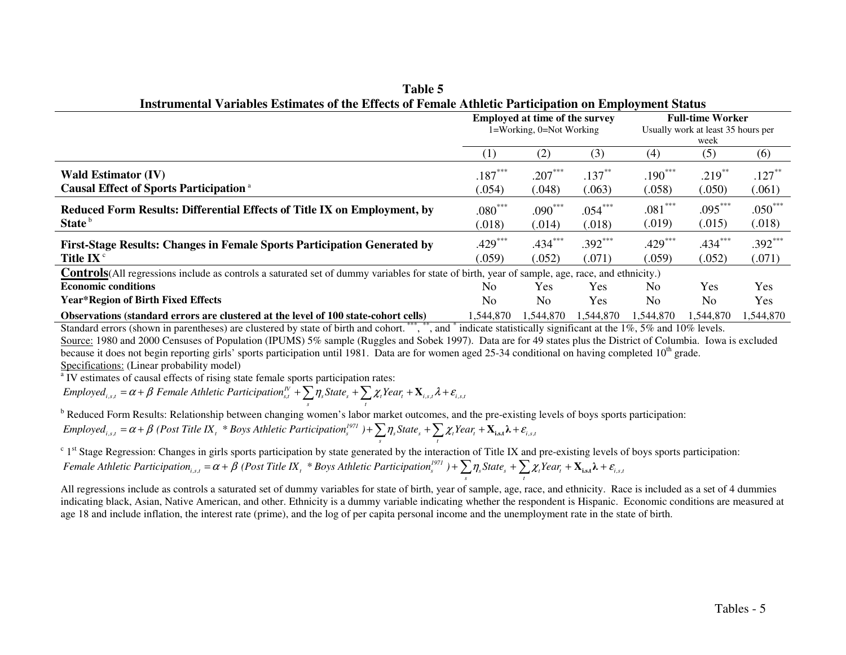|                                                                                                                                                        | <b>Employed at time of the survey</b><br>1=Working, 0=Not Working |                |            | <b>Full-time Worker</b><br>Usually work at least 35 hours per<br>week |                |           |
|--------------------------------------------------------------------------------------------------------------------------------------------------------|-------------------------------------------------------------------|----------------|------------|-----------------------------------------------------------------------|----------------|-----------|
|                                                                                                                                                        | $\left(1\right)$                                                  | (2)            | (3)        | (4)                                                                   | (5)            | (6)       |
| <b>Wald Estimator (IV)</b>                                                                                                                             | $.187***$                                                         | $.207***$      | $.137***$  | $.190***$                                                             | $.219***$      | $.127***$ |
| <b>Causal Effect of Sports Participation</b> <sup>a</sup>                                                                                              | (.054)                                                            | (.048)         | (.063)     | (.058)                                                                | (.050)         | (.061)    |
| Reduced Form Results: Differential Effects of Title IX on Employment, by                                                                               | $.080***$                                                         | $.090***$      | $.054***$  | $.081***$                                                             | $.095***$      | $.050***$ |
| State <sup>b</sup>                                                                                                                                     | (.018)                                                            | (.014)         | (.018)     | (.019)                                                                | (.015)         | (.018)    |
| <b>First-Stage Results: Changes in Female Sports Participation Generated by</b>                                                                        | $.429***$                                                         | $.434***$      | $.392***$  | $.429***$                                                             | $.434***$      | $.392***$ |
| Title $IX^c$                                                                                                                                           | (.059)                                                            | (.052)         | (.071)     | (.059)                                                                | (.052)         | (.071)    |
| <b>Controls</b> (All regressions include as controls a saturated set of dummy variables for state of birth, year of sample, age, race, and ethnicity.) |                                                                   |                |            |                                                                       |                |           |
| <b>Economic conditions</b>                                                                                                                             | N <sub>0</sub>                                                    | <b>Yes</b>     | Yes.       | N <sub>0</sub>                                                        | Yes.           | Yes       |
| <b>Year*Region of Birth Fixed Effects</b>                                                                                                              | No                                                                | N <sub>0</sub> | <b>Yes</b> | N <sub>0</sub>                                                        | N <sub>0</sub> | Yes       |
| Observations (standard errors are clustered at the level of 100 state-cohort cells)                                                                    | 1.544.870                                                         | 1,544,870      | 1.544.870  | 1.544.870                                                             | 1.544.870      | 1,544,870 |

**Table 5 Instrumental Variables Estimates of the Effects of Female Athletic Participation on Employment Status** 

Standard errors (shown in parentheses) are clustered by state of birth and cohort.<sup>\*\*\*</sup>, \*\*, and \* indicate statistically significant at the 1%, 5% and 10% levels. Source: 1980 and 2000 Censuses of Population (IPUMS) 5% sample (Ruggles and Sobek 1997). Data are for 49 states plus the District of Columbia. Iowa is excluded because it does not begin reporting girls' sports participation until 1981. Data are for women aged 25-34 conditional on having completed  $10<sup>th</sup>$  grade. Specifications: (Linear probability model)

<sup>a</sup> IV estimates of causal effects of rising state female sports participation rates:

Employed<sub>i,s,t</sub> =  $\alpha + \beta$  Female Athletic Participation<sup>n</sup><sub>s,t</sub> +  $\sum_{s} \eta_{s} State_{s} + \sum_{t} \chi_{t} Year_{t} + \mathbf{X}_{i,s,t} \lambda + \varepsilon_{i,s,t}$ 

<sup>b</sup> Reduced Form Results: Relationship between changing women's labor market outcomes, and the pre-existing levels of boys sports participation:

$$
Employee_{i,s,t} = \alpha + \beta \text{ (Post Title IX, * Boys Atlantic Partitions1971)} + \sum_{s} \eta_s State_s + \sum_{t} \chi_t Year_t + \mathbf{X}_{i,s,t} \lambda + \varepsilon_{i,s,t}
$$

 $c<sup>c</sup> 1$ <sup>st</sup> Stage Regression: Changes in girls sports participation by state generated by the interaction of Title IX and pre-existing levels of boys sports participation: Female Athletic Participation<sub>i,s,t</sub> =  $\alpha + \beta$  (Post Title IX<sub>t</sub> \* Boys Athletic Participation<sup>1971</sup>) +  $\sum_{s} \eta_{s} State_{s} + \sum_{t} \chi_{t} Year_{t} + \mathbf{X}_{\text{i},st} \lambda + \varepsilon_{i,s,t}$ 

 All regressions include as controls a saturated set of dummy variables for state of birth, year of sample, age, race, and ethnicity. Race is included as a set of 4 dummies indicating black, Asian, Native American, and other. Ethnicity is a dummy variable indicating whether the respondent is Hispanic. Economic conditions are measured at age 18 and include inflation, the interest rate (prime), and the log of per capita personal income and the unemployment rate in the state of birth.

*<sup>s</sup> <sup>t</sup>*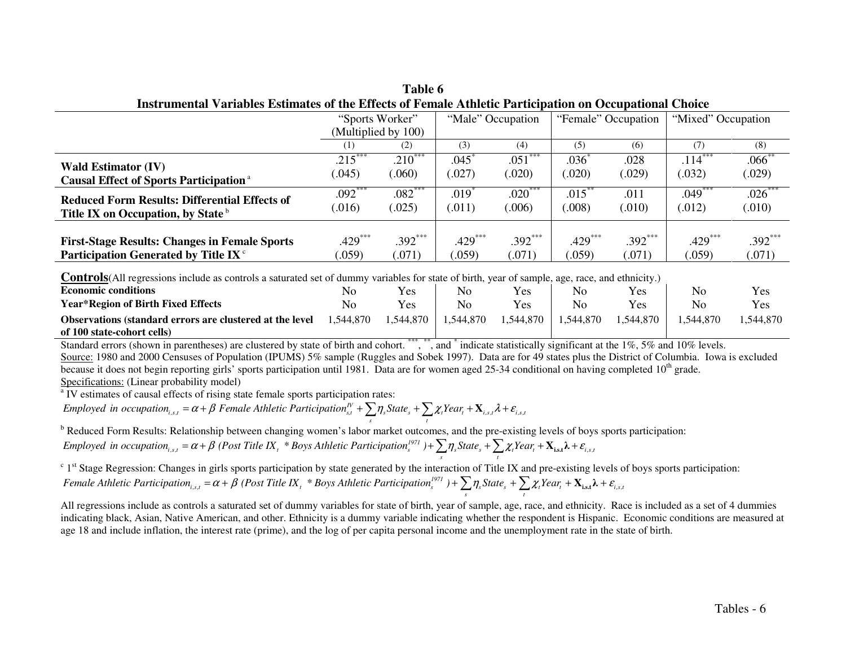| Table 6                                                                                                 |  |
|---------------------------------------------------------------------------------------------------------|--|
| Instrumental Variables Estimates of the Effects of Female Athletic Participation on Occupational Choice |  |
|                                                                                                         |  |

|                                                           | "Sports Worker"     |           | "Male" Occupation |           | "Female" Occupation |           | "Mixed" Occupation |             |
|-----------------------------------------------------------|---------------------|-----------|-------------------|-----------|---------------------|-----------|--------------------|-------------|
|                                                           | (Multiplied by 100) |           |                   |           |                     |           |                    |             |
|                                                           | (1)                 | (2)       | (3)               | (4)       | (5)                 | (6)       | (7)                | (8)         |
| <b>Wald Estimator (IV)</b>                                | $.215***$           | $.210***$ | .045              | $.051***$ | .036                | .028      | $.114***$          | $.066^{**}$ |
| <b>Causal Effect of Sports Participation</b> <sup>a</sup> | (.045)              | (.060)    | (.027)            | (.020)    | (.020)              | (.029)    | (.032)             | (.029)      |
| <b>Reduced Form Results: Differential Effects of</b>      | $.092***$           | $.082***$ | $.019*$           | $.020***$ | $.015**$            | .011      | $.049***$          | $.026***$   |
| Title IX on Occupation, by State <sup>b</sup>             | (.016)              | (.025)    | (.011)            | (.006)    | 008                 | (.010)    | (.012)             | (.010)      |
| <b>First-Stage Results: Changes in Female Sports</b>      | $.429***$           | $.392***$ | $.429***$         | $.392***$ | $.429***$           | $.392***$ | $.429***$          | $.392***$   |
| Participation Generated by Title IX <sup>c</sup>          | .059)               | (071)     | .059)             | (071)     | (.059)              | (.071)    | (.059)             | (.071)      |
|                                                           |                     |           |                   |           |                     |           |                    |             |

**Controls**(All regressions include as controls a saturated set of dummy variables for state of birth, year of sample, age, race, and ethnicity.)

| <b>Economic conditions</b>                                       | NΟ       | Yes        | No        | Yes        | No        | Yes      | No       | Yes     |
|------------------------------------------------------------------|----------|------------|-----------|------------|-----------|----------|----------|---------|
| <b>Year*Region of Birth Fixed Effects</b>                        | No       | <b>Yes</b> | No        | Yes        | No        | Yes      | No       | Yes     |
| <b>Observations (standard errors are clustered at the level)</b> | .544,870 | .544.870   | 1,544,870 | ـ 544,870, | 1.544.870 | .544.870 | .544.870 | 544,870 |
| of 100 state-cohort cells)                                       |          |            |           |            |           |          |          |         |

Standard errors (shown in parentheses) are clustered by state of birth and cohort. \*\*\*, \*\*, and \* indicate statistically significant at the 1%, 5% and 10% levels. Source: 1980 and 2000 Censuses of Population (IPUMS) 5% sample (Ruggles and Sobek 1997). Data are for 49 states plus the District of Columbia. Iowa is excluded because it does not begin reporting girls' sports participation until 1981. Data are for women aged 25-34 conditional on having completed  $10<sup>th</sup>$  grade. Specifications: (Linear probability model)

<sup>a</sup> IV estimates of causal effects of rising state female sports participation rates:

 $\sum_{s} \eta_s$ State<sub>s</sub> +  $\sum_{t} \chi_t$ Year<sub>t</sub> +  $\mathbf{X}_{i,s,t}$  A +  $\varepsilon_{i,s,t}$ *Employed in occupation*<sub>*i.s,t*</sub> =  $\alpha + \beta$  *Female* Athletic Participation<sup>*N*</sup><sub>s,t</sub></sub> +  $\sum_{s} \eta_{s}$ State<sub>s</sub> +  $\sum_{t} \chi_{t}$ Year<sub>t</sub> +  $\mathbf{X}_{i,s,t} \lambda + \varepsilon_{i,s,t}$ 

<sup>b</sup> Reduced Form Results: Relationship between changing women's labor market outcomes, and the pre-existing levels of boys sports participation: Employed in occupation<sub>i.s,t</sub> =  $\alpha + \beta$  (Post Title IX<sub>t</sub> \* Boys Athletic Participation<sup>1971</sup>) +  $\sum_{s} \eta_s$ State<sub>s</sub> +  $\sum_{t} \chi_t$ Year<sub>t</sub> +  $\mathbf{X}_{\text{is},t}$  $\lambda$  +  $\varepsilon_{i,s,t}$ 

<sup>c</sup> 1<sup>st</sup> Stage Regression: Changes in girls sports participation by state generated by the interaction of Title IX and pre-existing levels of boys sports participation:  $\int_{s}^{t} \int_{s}^{s} f(s) \, ds = \frac{1}{2} \int_{t}^{s} \int_{s}^{s} f(s) \, ds$  *s*  $\int_{s}^{t} \int_{s}^{s} f(s) \, ds$   $\int_{s}^{t} \int_{s}^{s} f(s) \, ds$   $\int_{s}^{t} \int_{s}^{s} f(s) \, ds$   $\int_{s}^{t} \int_{s}^{s} f(s) \, ds$   $\int_{s}^{t} \int_{s}^{s} f(s) \, ds$   $\int_{s}^{t} \int_{s}^{s} f(s) \, ds$   $\int_{s}^{t} \int_{$  $Female\text{ }Athletic\text{ }Partition_{i,s,t} = \alpha + \beta \text{ } (Post\text{ }Title\text{ }IX_t\text{ } ^*Bovs\text{ }Athletic\text{ }Partition_s^{I97I}) + \sum_s \eta_s State_s + \sum_t \chi_t Year_t + \mathbf{X}_{\text{i},st}\lambda + \varepsilon_{\text{i},st}\lambda$ 

All regressions include as controls a saturated set of dummy variables for state of birth, year of sample, age, race, and ethnicity. Race is included as a set of 4 dummies indicating black, Asian, Native American, and other. Ethnicity is a dummy variable indicating whether the respondent is Hispanic. Economic conditions are measured at age 18 and include inflation, the interest rate (prime), and the log of per capita personal income and the unemployment rate in the state of birth.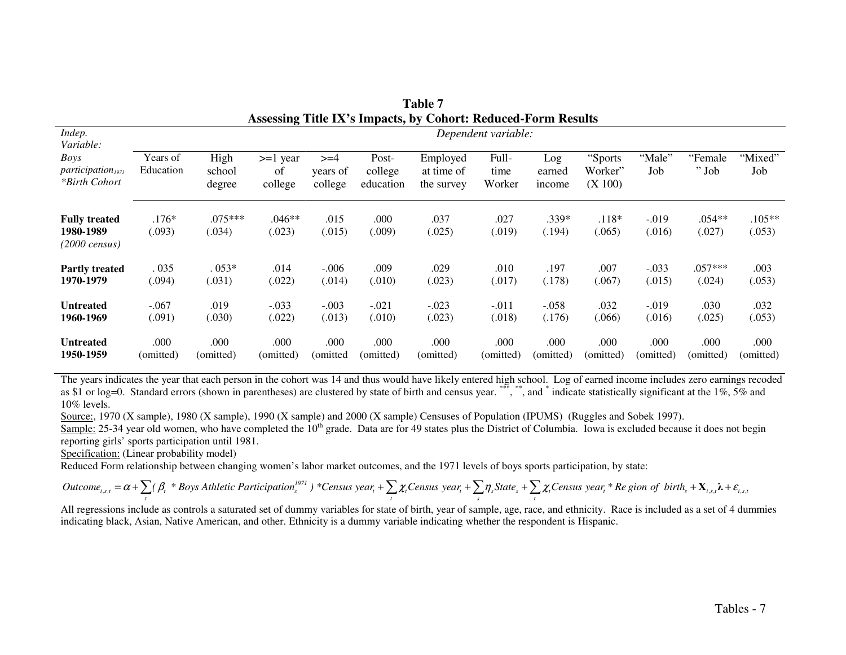|                                                                            |                       |                          |                             |                               |                               | Assessing Title IX's impacts, by Conort: Reduced-Form Results |                         |                         |                               |                   |                     |                    |
|----------------------------------------------------------------------------|-----------------------|--------------------------|-----------------------------|-------------------------------|-------------------------------|---------------------------------------------------------------|-------------------------|-------------------------|-------------------------------|-------------------|---------------------|--------------------|
| Indep.                                                                     |                       |                          |                             |                               |                               |                                                               | Dependent variable:     |                         |                               |                   |                     |                    |
| Variable:<br>Boys<br>participation <sub>1971</sub><br><i>*Birth Cohort</i> | Years of<br>Education | High<br>school<br>degree | $>=1$ year<br>0ſ<br>college | $>=$ 4<br>years of<br>college | Post-<br>college<br>education | Employed<br>at time of<br>the survey                          | Full-<br>time<br>Worker | Log<br>earned<br>income | "Sports<br>Worker"<br>(X 100) | "Male"<br>Job     | "Female"<br>$"$ Job | "Mixed"<br>Job     |
| <b>Fully treated</b><br>1980-1989<br>(2000 census)                         | $.176*$<br>(.093)     | $.075***$<br>(.034)      | $.046**$<br>(.023)          | .015<br>(.015)                | .000<br>(.009)                | .037<br>(.025)                                                | .027<br>(.019)          | .339*<br>(.194)         | $.118*$<br>(.065)             | $-.019$<br>(.016) | $.054**$<br>(.027)  | $.105**$<br>(.053) |
| <b>Partly treated</b><br>1970-1979                                         | . 035<br>(.094)       | $0.053*$<br>(.031)       | .014<br>(.022)              | $-.006$<br>(.014)             | .009<br>(.010)                | .029<br>(.023)                                                | .010<br>(.017)          | .197<br>(.178)          | .007<br>(.067)                | $-.033$<br>(.015) | $.057***$<br>(.024) | .003<br>(.053)     |
| <b>Untreated</b><br>1960-1969                                              | $-.067$<br>(.091)     | .019<br>(.030)           | $-.033$<br>(.022)           | $-.003$<br>(.013)             | $-.021$<br>(.010)             | $-.023$<br>(.023)                                             | $-.011$<br>(.018)       | $-.058$<br>(.176)       | .032<br>(.066)                | $-.019$<br>(.016) | .030<br>(.025)      | .032<br>(.053)     |
| <b>Untreated</b><br>1950-1959                                              | .000<br>(omitted)     | .000<br>(omitted)        | .000<br>(omitted)           | .000<br>(omitted              | .000<br>(omitted)             | .000<br>(omitted)                                             | .000<br>(omitted)       | .000<br>(omitted)       | .000<br>(omitted)             | .000<br>(omitted) | .000<br>(omitted)   | .000<br>(omitted)  |

| Table 7                                                       |
|---------------------------------------------------------------|
| Assessing Title IX's Impacts, by Cohort: Reduced-Form Results |

The years indicates the year that each person in the cohort was 14 and thus would have likely entered high school. Log of earned income includes zero earnings recoded<br>as \$1 or log=0. Standard errors (shown in parentheses) 10% levels.

Source:, 1970 (X sample), 1980 (X sample), 1990 (X sample) and 2000 (X sample) Censuses of Population (IPUMS) (Ruggles and Sobek 1997).

Sample: 25-34 year old women, who have completed the 10<sup>th</sup> grade. Data are for 49 states plus the District of Columbia. Iowa is excluded because it does not begin reporting girls' sports participation until 1981.

Specification: (Linear probability model)

Reduced Form relationship between changing women's labor market outcomes, and the 1971 levels of boys sports participation, by state:

$$
Outcome_{i,s,t} = \alpha + \sum_{t} (\beta_t * Boys Athletic Partition_{s}^{1971}) * Census year_t + \sum_{t} \chi_t Census year_t + \sum_{s} \eta_s State_s + \sum_{t} \chi_t Census year_t * Re gion of birth_s + X_{i,s,t} \lambda + \varepsilon_{i,s,t}
$$

All regressions include as controls a saturated set of dummy variables for state of birth, year of sample, age, race, and ethnicity. Race is included as a set of 4 dummies indicating black, Asian, Native American, and other. Ethnicity is a dummy variable indicating whether the respondent is Hispanic.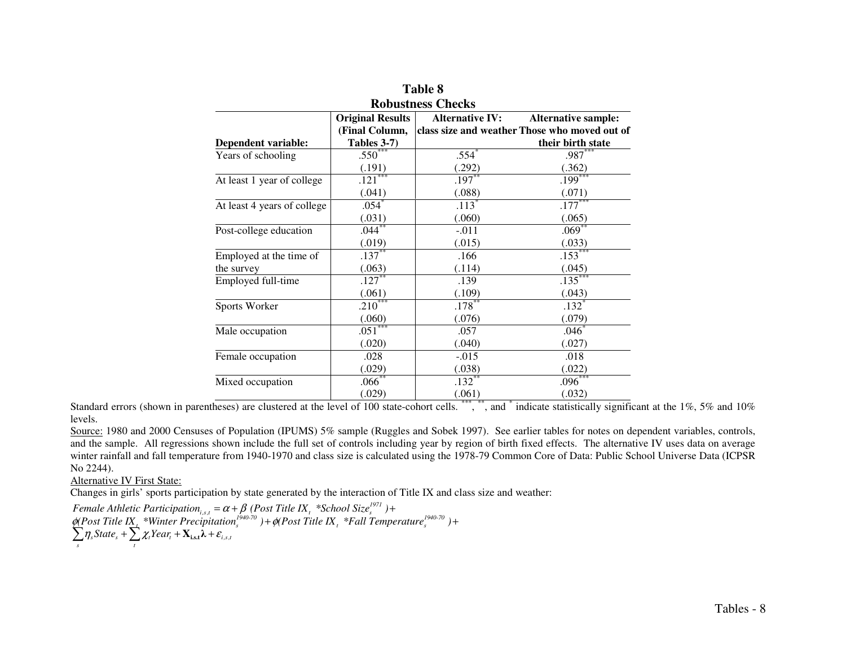| <b>Robustness Checks</b>    |                         |                        |                                               |  |
|-----------------------------|-------------------------|------------------------|-----------------------------------------------|--|
|                             | <b>Original Results</b> | <b>Alternative IV:</b> | <b>Alternative sample:</b>                    |  |
|                             | (Final Column,          |                        | class size and weather Those who moved out of |  |
| <b>Dependent variable:</b>  | Tables 3-7)             |                        | their birth state                             |  |
| Years of schooling          | $.550^{***}$            | $.554*$                | $.987***$                                     |  |
|                             | (.191)                  | $\frac{(.292)}{.197}$  | $\frac{(.362)}{.199}$                         |  |
| At least 1 year of college  | $.121***$               |                        |                                               |  |
|                             | (.041)                  | (.088)                 | (.071)                                        |  |
| At least 4 years of college | $.054$ <sup>*</sup>     | $.113$ <sup>*</sup>    | $.177***$                                     |  |
|                             | (.031)                  | (.060)                 | (.065)                                        |  |
| Post-college education      | $.044***$               | $-.011$                | $.069^{**}$                                   |  |
|                             | (.019)                  | (.015)                 | (.033)                                        |  |
| Employed at the time of     | $.137**$                | .166                   | $.153***$                                     |  |
| the survey                  | (.063)                  | (.114)                 | (.045)                                        |  |
| Employed full-time          | $.127***$               | .139                   | $.135***$                                     |  |
|                             | (.061)                  | (.109)                 | (.043)                                        |  |
| Sports Worker               | $.210***$               | $.178***$              | $.132*$                                       |  |
|                             | (.060)                  | (.076)                 | (.079)                                        |  |
| Male occupation             | $.051***$               | .057                   | $.046*$                                       |  |
|                             | (.020)                  | (.040)                 | (.027)                                        |  |
| Female occupation           | .028                    | $-0.015$               | .018                                          |  |
|                             | (.029)                  | (.038)                 | (.022)                                        |  |
| Mixed occupation            | $.066***$               | $.132***$              | $.096***$                                     |  |
|                             | (.029)                  | (.061)                 | (.032)                                        |  |

**Table 8 Robustness Checks** 

Standard errors (shown in parentheses) are clustered at the level of 100 state-cohort cells. \*\*\*, \*\*, and \* indicate statistically significant at the 1%, 5% and 10% levels.

Source: 1980 and 2000 Censuses of Population (IPUMS) 5% sample (Ruggles and Sobek 1997). See earlier tables for notes on dependent variables, controls, and the sample. All regressions shown include the full set of controls including year by region of birth fixed effects. The alternative IV uses data on average winter rainfall and fall temperature from 1940-1970 and class size is calculated using the 1978-79 Common Core of Data: Public School Universe Data (ICPSR No 2244).

Alternative IV First State:

Changes in girls' sports participation by state generated by the interaction of Title IX and class size and weather:

Female Athletic Participation<sub>i,s,t</sub> =  $\alpha$  +  $\beta$  (Post Title IX<sub>1</sub> \*School Size<sup>1971</sup>) +<br>
(Post Title IX<sub>1</sub> \*Winter Precipitation<sup>1940-70</sup>) +  $\phi$ (Post Title IX<sub>1</sub> \*Fall Temperature<sup>1940-70</sup><br>  $\sum_{s} \eta_{s} State_{s} + \sum_{t} \chi_{t} Year$ Female Athletic Participation<sub>i.s.t</sub> =  $\alpha + \beta$  (Post Title IX<sub>t</sub>, \*School Size<sup>1977</sup>)+<br> $\phi$ (Post Title IX<sub>t</sub>, \*Winter Precipitation<sup>1940-70</sup>)+ $\phi$ (Post Title IX<sub>t</sub>, \*Fall Temperature<sup>1940-70</sup>)+<br> $\sum \eta_s$ State<sub>s</sub> +  $\sum \chi_i$ Ye Female Athletic Participation<sub>isst</sub> =  $\alpha + \beta$  (Post 1<br>  $\phi$ (Post Title IX, \*Winter Precipitation<sup>1940-70</sup>) +  $\phi$  $\eta_s$ State<sub>s</sub> +  $\sum \chi_i$ Year<sub>t</sub> +  $\mathbf{X}_{i,s,t}$  $\mathbf{\lambda}$  +  $\mathbf{\varepsilon}_{i,s}$ Female Athletic Participation<sub>i,s,t</sub> =  $\alpha + \beta$  (Post Title IX<sub>1</sub> \*School Size<sup>*cy*</sup>) +<br>  $\phi$ (Post Title IX<sub>1</sub> \*Winter Precipitation<sup>1940-70</sup> ) +  $\phi$ (Post Title IX<sub>1</sub> \*Fall Temperature<sup>1940-70</sup> ) +<br>  $\sum_{s} \eta_{s} State_{s} + \sum_{t} \$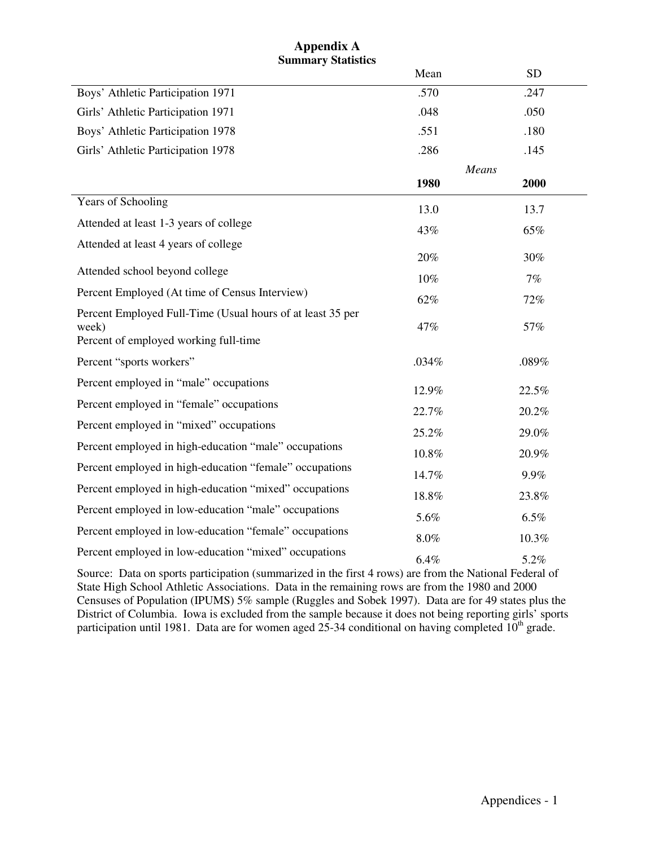## **Appendix A Summary Statistics**

|                                                                                                              | Mean  | <b>SD</b> |  |
|--------------------------------------------------------------------------------------------------------------|-------|-----------|--|
| Boys' Athletic Participation 1971                                                                            | .570  | .247      |  |
| Girls' Athletic Participation 1971                                                                           | .048  | .050      |  |
| Boys' Athletic Participation 1978                                                                            | .551  | .180      |  |
| Girls' Athletic Participation 1978                                                                           | .286  | .145      |  |
|                                                                                                              |       | Means     |  |
|                                                                                                              | 1980  | 2000      |  |
| Years of Schooling                                                                                           | 13.0  | 13.7      |  |
| Attended at least 1-3 years of college                                                                       | 43%   | 65%       |  |
| Attended at least 4 years of college                                                                         |       |           |  |
|                                                                                                              | 20%   | 30%       |  |
| Attended school beyond college                                                                               | 10%   | 7%        |  |
| Percent Employed (At time of Census Interview)                                                               | 62%   | 72%       |  |
| Percent Employed Full-Time (Usual hours of at least 35 per<br>week)<br>Percent of employed working full-time | 47%   | 57%       |  |
| Percent "sports workers"                                                                                     | .034% | .089%     |  |
| Percent employed in "male" occupations                                                                       | 12.9% | 22.5%     |  |
| Percent employed in "female" occupations                                                                     | 22.7% | 20.2%     |  |
| Percent employed in "mixed" occupations                                                                      | 25.2% | 29.0%     |  |
| Percent employed in high-education "male" occupations                                                        | 10.8% | 20.9%     |  |
| Percent employed in high-education "female" occupations                                                      | 14.7% | 9.9%      |  |
| Percent employed in high-education "mixed" occupations                                                       | 18.8% | 23.8%     |  |
| Percent employed in low-education "male" occupations                                                         | 5.6%  | 6.5%      |  |
| Percent employed in low-education "female" occupations                                                       | 8.0%  | 10.3%     |  |
| Percent employed in low-education "mixed" occupations                                                        | 6.4%  | 5.2%      |  |

Source: Data on sports participation (summarized in the first 4 rows) are from the National Federal of State High School Athletic Associations. Data in the remaining rows are from the 1980 and 2000 Censuses of Population (IPUMS) 5% sample (Ruggles and Sobek 1997). Data are for 49 states plus the District of Columbia. Iowa is excluded from the sample because it does not being reporting girls' sports participation until 1981. Data are for women aged  $25$ -34 conditional on having completed  $10^{th}$  grade.